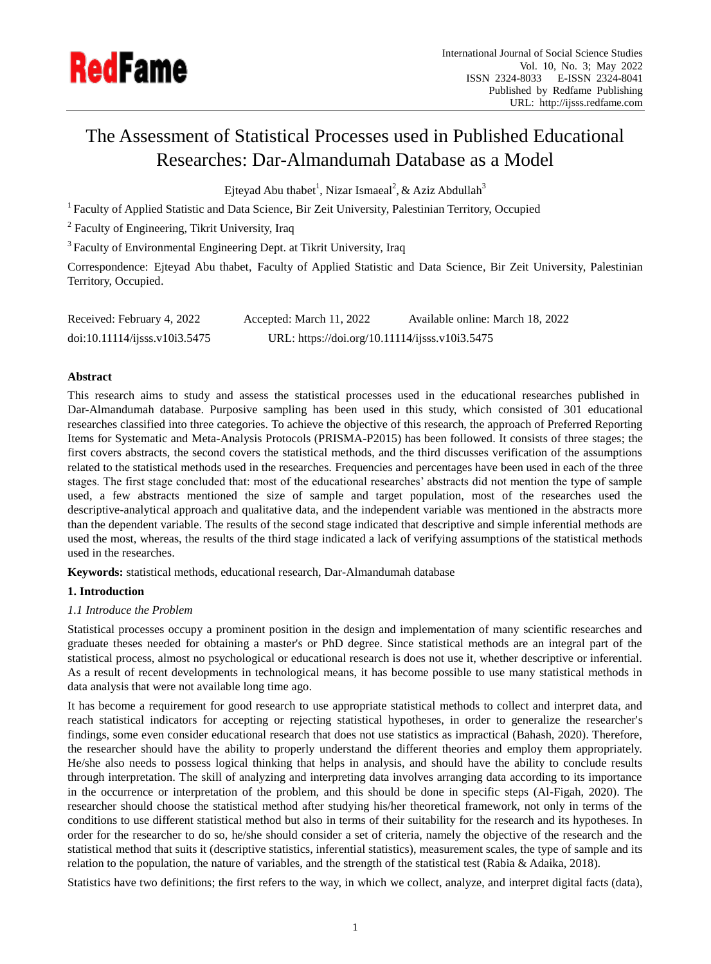

# The Assessment of Statistical Processes used in Published Educational Researches: Dar-Almandumah Database as a Model

Ejteyad Abu thabet<sup>1</sup>, Nizar Ismaeal<sup>2</sup>, & Aziz Abdullah<sup>3</sup>

<sup>1</sup> Faculty of Applied Statistic and Data Science, Bir Zeit University, Palestinian Territory, Occupied

<sup>2</sup> Faculty of Engineering, Tikrit University, Iraq

<sup>3</sup> Faculty of Environmental Engineering Dept. at Tikrit University, Iraq

Correspondence: Ejteyad Abu thabet, Faculty of Applied Statistic and Data Science, Bir Zeit University, Palestinian Territory, Occupied.

| Received: February 4, 2022    | Accepted: March 11, 2022                       | Available online: March 18, 2022 |
|-------------------------------|------------------------------------------------|----------------------------------|
| doi:10.11114/j;ss. v10i3.5475 | URL: https://doi.org/10.11114/ijsss.v10i3.5475 |                                  |

# **Abstract**

This research aims to study and assess the statistical processes used in the educational researches published in Dar-Almandumah database. Purposive sampling has been used in this study, which consisted of 301 educational researches classified into three categories. To achieve the objective of this research, the approach of Preferred Reporting Items for Systematic and Meta-Analysis Protocols (PRISMA-P2015) has been followed. It consists of three stages; the first covers abstracts, the second covers the statistical methods, and the third discusses verification of the assumptions related to the statistical methods used in the researches. Frequencies and percentages have been used in each of the three stages. The first stage concluded that: most of the educational researches' abstracts did not mention the type of sample used, a few abstracts mentioned the size of sample and target population, most of the researches used the descriptive-analytical approach and qualitative data, and the independent variable was mentioned in the abstracts more than the dependent variable. The results of the second stage indicated that descriptive and simple inferential methods are used the most, whereas, the results of the third stage indicated a lack of verifying assumptions of the statistical methods used in the researches.

**Keywords:** statistical methods, educational research, Dar-Almandumah database

# **1. Introduction**

## *1.1 Introduce the Problem*

Statistical processes occupy a prominent position in the design and implementation of many scientific researches and graduate theses needed for obtaining a master's or PhD degree. Since statistical methods are an integral part of the statistical process, almost no psychological or educational research is does not use it, whether descriptive or inferential. As a result of recent developments in technological means, it has become possible to use many statistical methods in data analysis that were not available long time ago.

It has become a requirement for good research to use appropriate statistical methods to collect and interpret data, and reach statistical indicators for accepting or rejecting statistical hypotheses, in order to generalize the researcher's findings, some even consider educational research that does not use statistics as impractical (Bahash, 2020). Therefore, the researcher should have the ability to properly understand the different theories and employ them appropriately. He/she also needs to possess logical thinking that helps in analysis, and should have the ability to conclude results through interpretation. The skill of analyzing and interpreting data involves arranging data according to its importance in the occurrence or interpretation of the problem, and this should be done in specific steps (Al-Figah, 2020). The researcher should choose the statistical method after studying his/her theoretical framework, not only in terms of the conditions to use different statistical method but also in terms of their suitability for the research and its hypotheses. In order for the researcher to do so, he/she should consider a set of criteria, namely the objective of the research and the statistical method that suits it (descriptive statistics, inferential statistics), measurement scales, the type of sample and its relation to the population, the nature of variables, and the strength of the statistical test (Rabia & Adaika, 2018).

Statistics have two definitions; the first refers to the way, in which we collect, analyze, and interpret digital facts (data),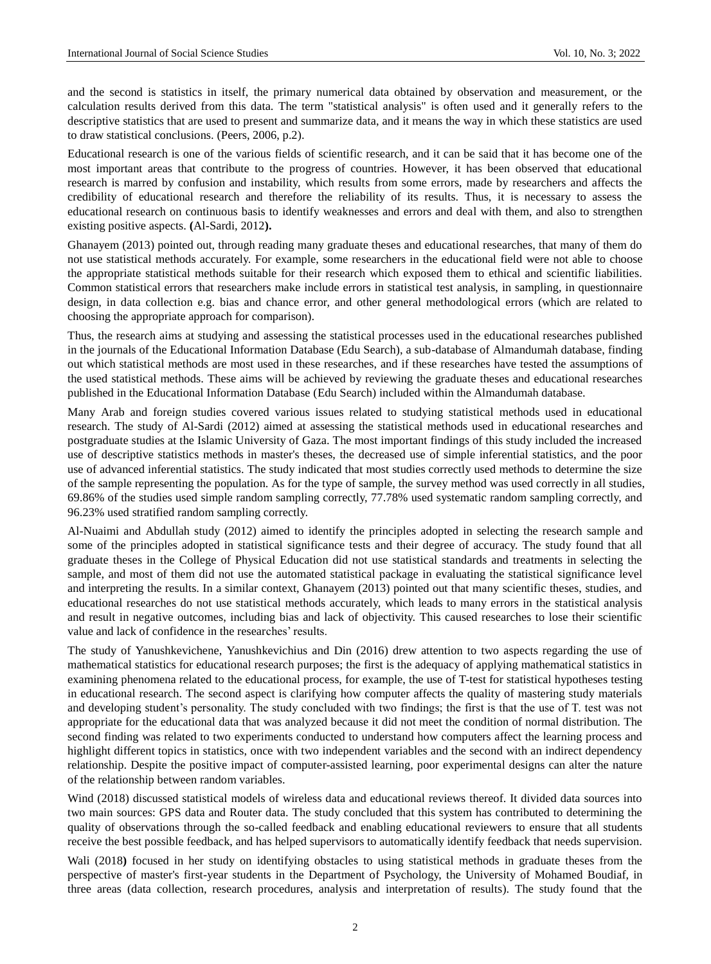and the second is statistics in itself, the primary numerical data obtained by observation and measurement, or the calculation results derived from this data. The term "statistical analysis" is often used and it generally refers to the descriptive statistics that are used to present and summarize data, and it means the way in which these statistics are used to draw statistical conclusions. (Peers, 2006, p.2).

Educational research is one of the various fields of scientific research, and it can be said that it has become one of the most important areas that contribute to the progress of countries. However, it has been observed that educational research is marred by confusion and instability, which results from some errors, made by researchers and affects the credibility of educational research and therefore the reliability of its results. Thus, it is necessary to assess the educational research on continuous basis to identify weaknesses and errors and deal with them, and also to strengthen existing positive aspects. **(**Al-Sardi, 2012**).**

Ghanayem (2013) pointed out, through reading many graduate theses and educational researches, that many of them do not use statistical methods accurately. For example, some researchers in the educational field were not able to choose the appropriate statistical methods suitable for their research which exposed them to ethical and scientific liabilities. Common statistical errors that researchers make include errors in statistical test analysis, in sampling, in questionnaire design, in data collection e.g. bias and chance error, and other general methodological errors (which are related to choosing the appropriate approach for comparison).

Thus, the research aims at studying and assessing the statistical processes used in the educational researches published in the journals of the Educational Information Database (Edu Search), a sub-database of Almandumah database, finding out which statistical methods are most used in these researches, and if these researches have tested the assumptions of the used statistical methods. These aims will be achieved by reviewing the graduate theses and educational researches published in the Educational Information Database (Edu Search) included within the Almandumah database.

Many Arab and foreign studies covered various issues related to studying statistical methods used in educational research. The study of Al-Sardi (2012) aimed at assessing the statistical methods used in educational researches and postgraduate studies at the Islamic University of Gaza. The most important findings of this study included the increased use of descriptive statistics methods in master's theses, the decreased use of simple inferential statistics, and the poor use of advanced inferential statistics. The study indicated that most studies correctly used methods to determine the size of the sample representing the population. As for the type of sample, the survey method was used correctly in all studies, 69.86% of the studies used simple random sampling correctly, 77.78% used systematic random sampling correctly, and 96.23% used stratified random sampling correctly.

Al-Nuaimi and Abdullah study (2012) aimed to identify the principles adopted in selecting the research sample and some of the principles adopted in statistical significance tests and their degree of accuracy. The study found that all graduate theses in the College of Physical Education did not use statistical standards and treatments in selecting the sample, and most of them did not use the automated statistical package in evaluating the statistical significance level and interpreting the results. In a similar context, Ghanayem (2013) pointed out that many scientific theses, studies, and educational researches do not use statistical methods accurately, which leads to many errors in the statistical analysis and result in negative outcomes, including bias and lack of objectivity. This caused researches to lose their scientific value and lack of confidence in the researches' results.

The study of Yanushkevichene, Yanushkevichius and Din (2016) drew attention to two aspects regarding the use of mathematical statistics for educational research purposes; the first is the adequacy of applying mathematical statistics in examining phenomena related to the educational process, for example, the use of T-test for statistical hypotheses testing in educational research. The second aspect is clarifying how computer affects the quality of mastering study materials and developing student's personality. The study concluded with two findings; the first is that the use of T. test was not appropriate for the educational data that was analyzed because it did not meet the condition of normal distribution. The second finding was related to two experiments conducted to understand how computers affect the learning process and highlight different topics in statistics, once with two independent variables and the second with an indirect dependency relationship. Despite the positive impact of computer-assisted learning, poor experimental designs can alter the nature of the relationship between random variables.

Wind (2018) discussed statistical models of wireless data and educational reviews thereof. It divided data sources into two main sources: GPS data and Router data. The study concluded that this system has contributed to determining the quality of observations through the so-called feedback and enabling educational reviewers to ensure that all students receive the best possible feedback, and has helped supervisors to automatically identify feedback that needs supervision.

Wali (2018**)** focused in her study on identifying obstacles to using statistical methods in graduate theses from the perspective of master's first-year students in the Department of Psychology, the University of Mohamed Boudiaf, in three areas (data collection, research procedures, analysis and interpretation of results). The study found that the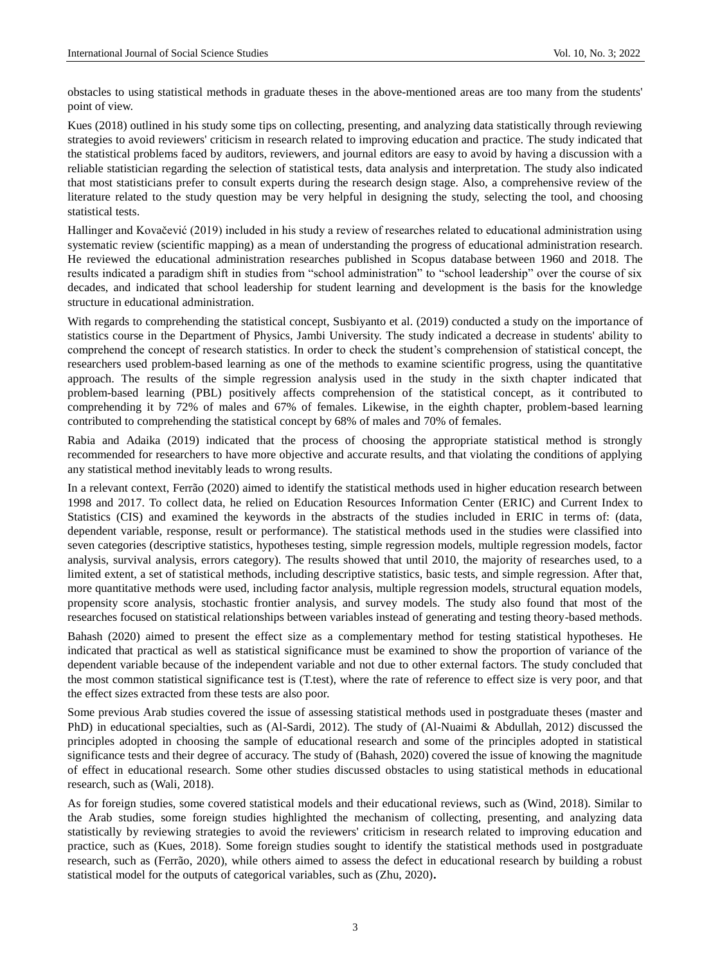obstacles to using statistical methods in graduate theses in the above-mentioned areas are too many from the students' point of view.

Kues (2018) outlined in his study some tips on collecting, presenting, and analyzing data statistically through reviewing strategies to avoid reviewers' criticism in research related to improving education and practice. The study indicated that the statistical problems faced by auditors, reviewers, and journal editors are easy to avoid by having a discussion with a reliable statistician regarding the selection of statistical tests, data analysis and interpretation. The study also indicated that most statisticians prefer to consult experts during the research design stage. Also, a comprehensive review of the literature related to the study question may be very helpful in designing the study, selecting the tool, and choosing statistical tests.

Hallinger and Kovačević (2019) included in his study a review of researches related to educational administration using systematic review (scientific mapping) as a mean of understanding the progress of educational administration research. He reviewed the educational administration researches published in Scopus database between 1960 and 2018. The results indicated a paradigm shift in studies from "school administration" to "school leadership" over the course of six decades, and indicated that school leadership for student learning and development is the basis for the knowledge structure in educational administration.

With regards to comprehending the statistical concept, Susbiyanto et al. (2019) conducted a study on the importance of statistics course in the Department of Physics, Jambi University. The study indicated a decrease in students' ability to comprehend the concept of research statistics. In order to check the student's comprehension of statistical concept, the researchers used problem-based learning as one of the methods to examine scientific progress, using the quantitative approach. The results of the simple regression analysis used in the study in the sixth chapter indicated that problem-based learning (PBL) positively affects comprehension of the statistical concept, as it contributed to comprehending it by 72% of males and 67% of females. Likewise, in the eighth chapter, problem-based learning contributed to comprehending the statistical concept by 68% of males and 70% of females.

Rabia and Adaika (2019) indicated that the process of choosing the appropriate statistical method is strongly recommended for researchers to have more objective and accurate results, and that violating the conditions of applying any statistical method inevitably leads to wrong results.

In a relevant context, Ferrão (2020) aimed to identify the statistical methods used in higher education research between 1998 and 2017. To collect data, he relied on Education Resources Information Center (ERIC) and Current Index to Statistics (CIS) and examined the keywords in the abstracts of the studies included in ERIC in terms of: (data, dependent variable, response, result or performance). The statistical methods used in the studies were classified into seven categories (descriptive statistics, hypotheses testing, simple regression models, multiple regression models, factor analysis, survival analysis, errors category). The results showed that until 2010, the majority of researches used, to a limited extent, a set of statistical methods, including descriptive statistics, basic tests, and simple regression. After that, more quantitative methods were used, including factor analysis, multiple regression models, structural equation models, propensity score analysis, stochastic frontier analysis, and survey models. The study also found that most of the researches focused on statistical relationships between variables instead of generating and testing theory-based methods.

Bahash (2020) aimed to present the effect size as a complementary method for testing statistical hypotheses. He indicated that practical as well as statistical significance must be examined to show the proportion of variance of the dependent variable because of the independent variable and not due to other external factors. The study concluded that the most common statistical significance test is (T.test), where the rate of reference to effect size is very poor, and that the effect sizes extracted from these tests are also poor.

Some previous Arab studies covered the issue of assessing statistical methods used in postgraduate theses (master and PhD) in educational specialties, such as (Al-Sardi, 2012). The study of (Al-Nuaimi & Abdullah, 2012) discussed the principles adopted in choosing the sample of educational research and some of the principles adopted in statistical significance tests and their degree of accuracy. The study of (Bahash, 2020) covered the issue of knowing the magnitude of effect in educational research. Some other studies discussed obstacles to using statistical methods in educational research, such as (Wali, 2018).

As for foreign studies, some covered statistical models and their educational reviews, such as (Wind, 2018). Similar to the Arab studies, some foreign studies highlighted the mechanism of collecting, presenting, and analyzing data statistically by reviewing strategies to avoid the reviewers' criticism in research related to improving education and practice, such as (Kues, 2018). Some foreign studies sought to identify the statistical methods used in postgraduate research, such as (Ferrão, 2020), while others aimed to assess the defect in educational research by building a robust statistical model for the outputs of categorical variables, such as (Zhu, 2020)**.**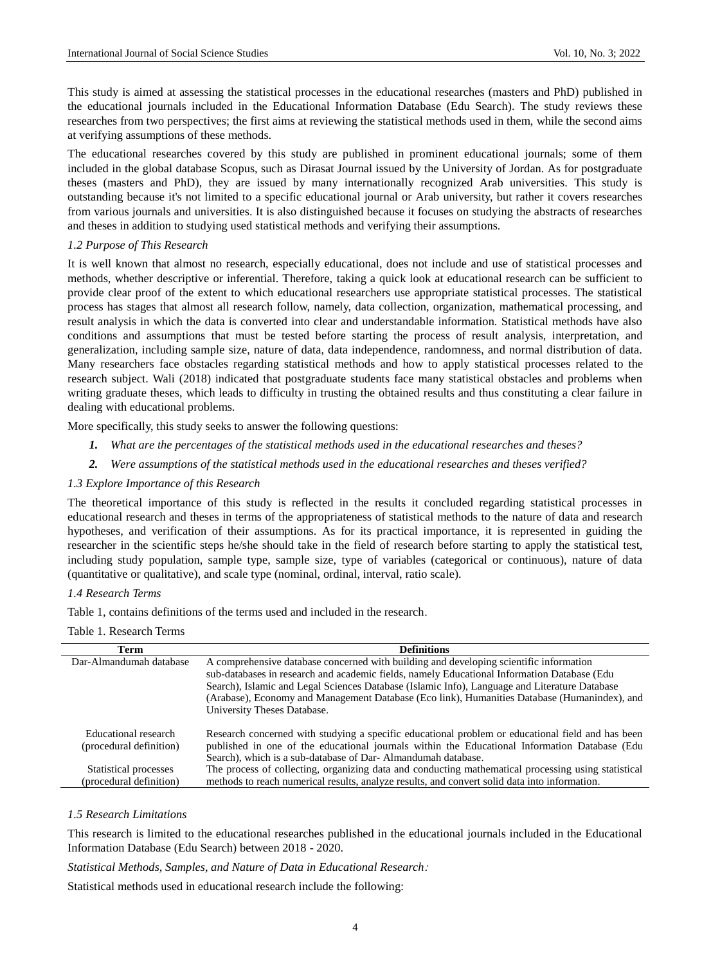This study is aimed at assessing the statistical processes in the educational researches (masters and PhD) published in the educational journals included in the Educational Information Database (Edu Search). The study reviews these researches from two perspectives; the first aims at reviewing the statistical methods used in them, while the second aims at verifying assumptions of these methods.

The educational researches covered by this study are published in prominent educational journals; some of them included in the global database Scopus, such as Dirasat Journal issued by the University of Jordan. As for postgraduate theses (masters and PhD), they are issued by many internationally recognized Arab universities. This study is outstanding because it's not limited to a specific educational journal or Arab university, but rather it covers researches from various journals and universities. It is also distinguished because it focuses on studying the abstracts of researches and theses in addition to studying used statistical methods and verifying their assumptions.

#### *1.2 Purpose of This Research*

It is well known that almost no research, especially educational, does not include and use of statistical processes and methods, whether descriptive or inferential. Therefore, taking a quick look at educational research can be sufficient to provide clear proof of the extent to which educational researchers use appropriate statistical processes. The statistical process has stages that almost all research follow, namely, data collection, organization, mathematical processing, and result analysis in which the data is converted into clear and understandable information. Statistical methods have also conditions and assumptions that must be tested before starting the process of result analysis, interpretation, and generalization, including sample size, nature of data, data independence, randomness, and normal distribution of data. Many researchers face obstacles regarding statistical methods and how to apply statistical processes related to the research subject. Wali (2018) indicated that postgraduate students face many statistical obstacles and problems when writing graduate theses, which leads to difficulty in trusting the obtained results and thus constituting a clear failure in dealing with educational problems.

More specifically, this study seeks to answer the following questions:

- *1. What are the percentages of the statistical methods used in the educational researches and theses?*
- *2. Were assumptions of the statistical methods used in the educational researches and theses verified?*

## *1.3 Explore Importance of this Research*

The theoretical importance of this study is reflected in the results it concluded regarding statistical processes in educational research and theses in terms of the appropriateness of statistical methods to the nature of data and research hypotheses, and verification of their assumptions. As for its practical importance, it is represented in guiding the researcher in the scientific steps he/she should take in the field of research before starting to apply the statistical test, including study population, sample type, sample size, type of variables (categorical or continuous), nature of data (quantitative or qualitative), and scale type (nominal, ordinal, interval, ratio scale).

#### *1.4 Research Terms*

Table 1, contains definitions of the terms used and included in the research.

## Table 1. Research Terms

| Term                    | <b>Definitions</b>                                                                                  |
|-------------------------|-----------------------------------------------------------------------------------------------------|
| Dar-Almandumah database | A comprehensive database concerned with building and developing scientific information              |
|                         | sub-databases in research and academic fields, namely Educational Information Database (Edu         |
|                         | Search), Islamic and Legal Sciences Database (Islamic Info), Language and Literature Database       |
|                         | (Arabase), Economy and Management Database (Eco link), Humanities Database (Humanindex), and        |
|                         | University Theses Database.                                                                         |
| Educational research    | Research concerned with studying a specific educational problem or educational field and has been   |
| (procedural definition) | published in one of the educational journals within the Educational Information Database (Edu       |
|                         | Search), which is a sub-database of Dar-Almandumah database.                                        |
| Statistical processes   | The process of collecting, organizing data and conducting mathematical processing using statistical |
| (procedural definition) | methods to reach numerical results, analyze results, and convert solid data into information.       |

### *1.5 Research Limitations*

This research is limited to the educational researches published in the educational journals included in the Educational Information Database (Edu Search) between 2018 - 2020.

*Statistical Methods, Samples, and Nature of Data in Educational Research*:

Statistical methods used in educational research include the following: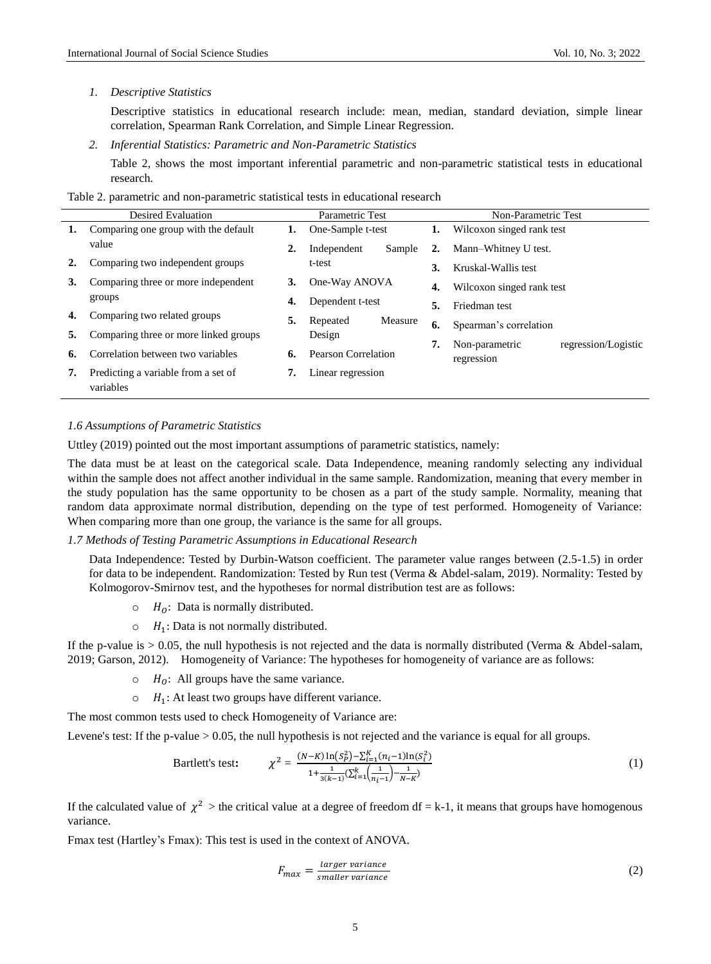#### *1. Descriptive Statistics*

Descriptive statistics in educational research include: mean, median, standard deviation, simple linear correlation, Spearman Rank Correlation, and Simple Linear Regression.

*2. Inferential Statistics: Parametric and Non-Parametric Statistics*

Table 2, shows the most important inferential parametric and non-parametric statistical tests in educational research.

Table 2. parametric and non-parametric statistical tests in educational research

|    | <b>Desired Evaluation</b>                        | Parametric Test |                     |         |    | Non-Parametric Test                                 |  |  |
|----|--------------------------------------------------|-----------------|---------------------|---------|----|-----------------------------------------------------|--|--|
| 1. | Comparing one group with the default             | ı.              | One-Sample t-test   |         |    | <b>1.</b> Wilcoxon singed rank test                 |  |  |
|    | value                                            | 2.              | Independent         | Sample  | 2. | Mann-Whitney U test.                                |  |  |
|    | Comparing two independent groups                 |                 | t-test              |         | 3. | Kruskal-Wallis test                                 |  |  |
| 3. | Comparing three or more independent              | 3.              | One-Way ANOVA       |         | 4. | Wilcoxon singed rank test                           |  |  |
|    | groups                                           | 4.              | Dependent t-test    |         | 5. | Friedman test                                       |  |  |
| 4. | Comparing two related groups                     | 5.              | Repeated            | Measure | 6. | Spearman's correlation                              |  |  |
|    | Comparing three or more linked groups            |                 | Design              |         |    |                                                     |  |  |
| 6. | Correlation between two variables                | 6.              | Pearson Correlation |         | 7. | regression/Logistic<br>Non-parametric<br>regression |  |  |
| 7. | Predicting a variable from a set of<br>variables |                 | Linear regression   |         |    |                                                     |  |  |

# *1.6 Assumptions of Parametric Statistics*

Uttley (2019) pointed out the most important assumptions of parametric statistics, namely:

The data must be at least on the categorical scale. Data Independence, meaning randomly selecting any individual within the sample does not affect another individual in the same sample. Randomization, meaning that every member in the study population has the same opportunity to be chosen as a part of the study sample. Normality, meaning that random data approximate normal distribution, depending on the type of test performed. Homogeneity of Variance: When comparing more than one group, the variance is the same for all groups.

*1.7 Methods of Testing Parametric Assumptions in Educational Research*

Data Independence: Tested by Durbin-Watson coefficient. The parameter value ranges between (2.5-1.5) in order for data to be independent. Randomization: Tested by Run test (Verma & Abdel-salam, 2019). Normality: Tested by Kolmogorov-Smirnov test, and the hypotheses for normal distribution test are as follows:

- $\circ$   $H_0$ : Data is normally distributed.
- $\circ$   $H_1$ : Data is not normally distributed.

If the p-value is  $> 0.05$ , the null hypothesis is not rejected and the data is normally distributed (Verma & Abdel-salam, 2019; Garson, 2012). Homogeneity of Variance: The hypotheses for homogeneity of variance are as follows:

- $\circ$   $H_0$ : All groups have the same variance.
- $\circ$   $H_1$ : At least two groups have different variance.

The most common tests used to check Homogeneity of Variance are:

Levene's test: If the p-value > 0.05, the null hypothesis is not rejected and the variance is equal for all groups.

Bartlett's test: 
$$
\chi^2 = \frac{(N-K)\ln(S_P^2) - \sum_{i=1}^K (n_i - 1)\ln(S_i^2)}{1 + \frac{1}{3(k-1)}(\sum_{i=1}^k \left(\frac{1}{n_i - 1}\right) - \frac{1}{N-K})}
$$
(1)

If the calculated value of  $\chi^2$  > the critical value at a degree of freedom df = k-1, it means that groups have homogenous variance.

Fmax test (Hartley's Fmax): This test is used in the context of ANOVA.

$$
F_{max} = \frac{larger \ variance}{smaller \ variance}
$$
\n<sup>(2)</sup>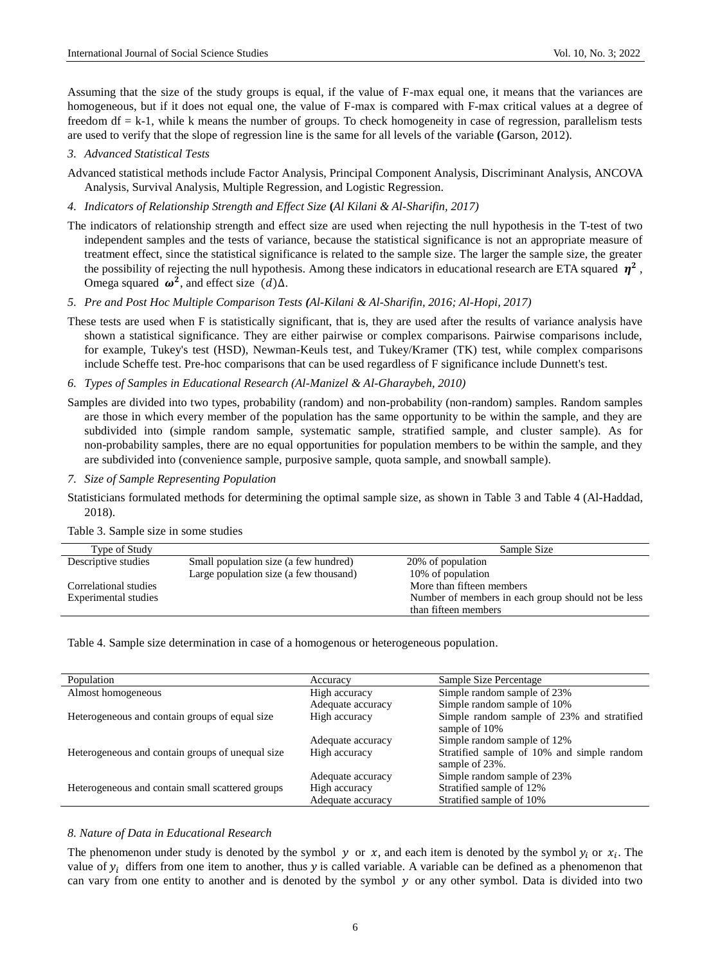Assuming that the size of the study groups is equal, if the value of F-max equal one, it means that the variances are homogeneous, but if it does not equal one, the value of F-max is compared with F-max critical values at a degree of freedom  $df = k-1$ , while k means the number of groups. To check homogeneity in case of regression, parallelism tests are used to verify that the slope of regression line is the same for all levels of the variable **(**Garson, 2012).

*3. Advanced Statistical Tests*

Advanced statistical methods include Factor Analysis, Principal Component Analysis, Discriminant Analysis, ANCOVA Analysis, Survival Analysis, Multiple Regression, and Logistic Regression.

*4. Indicators of Relationship Strength and Effect Size* **(***Al Kilani & Al-Sharifin, 2017)*

The indicators of relationship strength and effect size are used when rejecting the null hypothesis in the T-test of two independent samples and the tests of variance, because the statistical significance is not an appropriate measure of treatment effect, since the statistical significance is related to the sample size. The larger the sample size, the greater the possibility of rejecting the null hypothesis. Among these indicators in educational research are ETA squared  $\eta^2$ , Omega squared  $\omega^2$ , and effect size  $(d)\Delta$ .

- *5. Pre and Post Hoc Multiple Comparison Tests (Al-Kilani & Al-Sharifin, 2016; Al-Hopi, 2017)*
- These tests are used when F is statistically significant, that is, they are used after the results of variance analysis have shown a statistical significance. They are either pairwise or complex comparisons. Pairwise comparisons include, for example, Tukey's test (HSD), Newman-Keuls test, and Tukey/Kramer (TK) test, while complex comparisons include Scheffe test. Pre-hoc comparisons that can be used regardless of F significance include Dunnett's test.
- *6. Types of Samples in Educational Research (Al-Manizel & Al-Gharaybeh, 2010)*

Samples are divided into two types, probability (random) and non-probability (non-random) samples. Random samples are those in which every member of the population has the same opportunity to be within the sample, and they are subdivided into (simple random sample, systematic sample, stratified sample, and cluster sample). As for non-probability samples, there are no equal opportunities for population members to be within the sample, and they are subdivided into (convenience sample, purposive sample, quota sample, and snowball sample).

*7. Size of Sample Representing Population*

Statisticians formulated methods for determining the optimal sample size, as shown in Table 3 and Table 4 (Al-Haddad, 2018).

Table 3. Sample size in some studies

| Type of Study         |                                        | Sample Size                                        |
|-----------------------|----------------------------------------|----------------------------------------------------|
| Descriptive studies   | Small population size (a few hundred)  | 20% of population                                  |
|                       | Large population size (a few thousand) | 10\% of population                                 |
| Correlational studies |                                        | More than fifteen members                          |
| Experimental studies  |                                        | Number of members in each group should not be less |
|                       |                                        | than fifteen members                               |

Table 4. Sample size determination in case of a homogenous or heterogeneous population.

| Population                                       | Accuracy          | Sample Size Percentage                                       |
|--------------------------------------------------|-------------------|--------------------------------------------------------------|
| Almost homogeneous                               | High accuracy     | Simple random sample of 23%                                  |
|                                                  | Adequate accuracy | Simple random sample of 10%                                  |
| Heterogeneous and contain groups of equal size   | High accuracy     | Simple random sample of 23% and stratified<br>sample of 10%  |
|                                                  | Adequate accuracy | Simple random sample of 12%                                  |
| Heterogeneous and contain groups of unequal size | High accuracy     | Stratified sample of 10% and simple random<br>sample of 23%. |
|                                                  | Adequate accuracy | Simple random sample of 23%                                  |
| Heterogeneous and contain small scattered groups | High accuracy     | Stratified sample of 12%                                     |
|                                                  | Adequate accuracy | Stratified sample of 10%                                     |
|                                                  |                   |                                                              |

#### *8. Nature of Data in Educational Research*

The phenomenon under study is denoted by the symbol y or x, and each item is denoted by the symbol  $y_i$  or  $x_i$ . The value of  $y_i$  differs from one item to another, thus y is called variable. A variable can be defined as a phenomenon that can vary from one entity to another and is denoted by the symbol  $y$  or any other symbol. Data is divided into two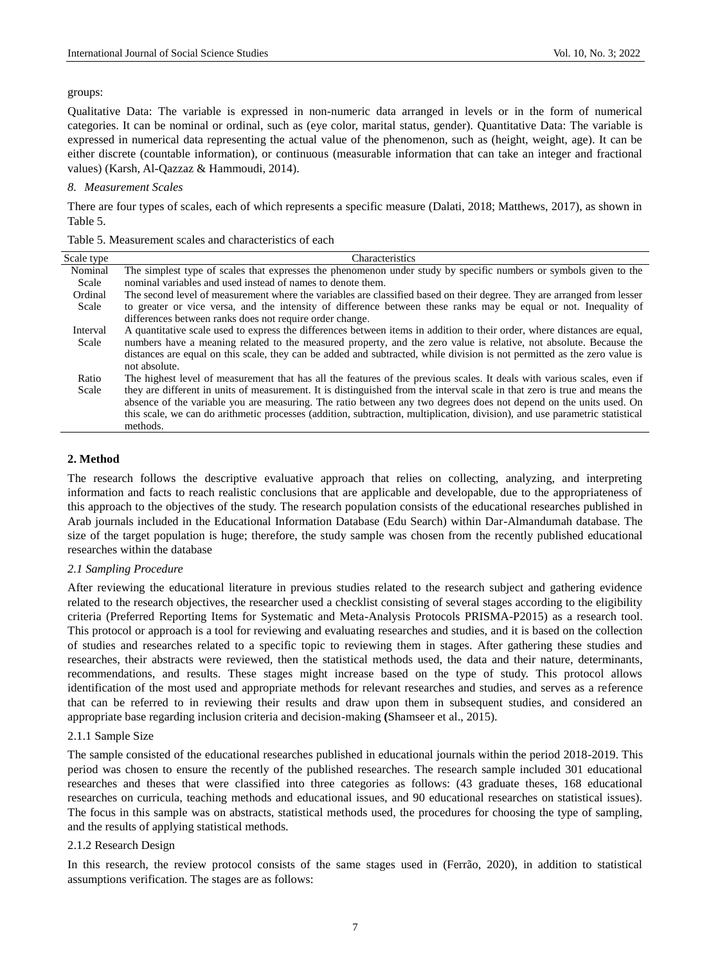#### groups:

Qualitative Data: The variable is expressed in non-numeric data arranged in levels or in the form of numerical categories. It can be nominal or ordinal, such as (eye color, marital status, gender). Quantitative Data: The variable is expressed in numerical data representing the actual value of the phenomenon, such as (height, weight, age). It can be either discrete (countable information), or continuous (measurable information that can take an integer and fractional values) (Karsh, Al-Qazzaz & Hammoudi, 2014).

#### *8. Measurement Scales*

There are four types of scales, each of which represents a specific measure (Dalati, 2018; Matthews, 2017), as shown in Table 5.

| Table 5. Measurement scales and characteristics of each |  |  |
|---------------------------------------------------------|--|--|
|---------------------------------------------------------|--|--|

| Scale type | Characteristics                                                                                                              |
|------------|------------------------------------------------------------------------------------------------------------------------------|
| Nominal    | The simplest type of scales that expresses the phenomenon under study by specific numbers or symbols given to the            |
| Scale      | nominal variables and used instead of names to denote them.                                                                  |
| Ordinal    | The second level of measurement where the variables are classified based on their degree. They are arranged from lesser      |
| Scale      | to greater or vice versa, and the intensity of difference between these ranks may be equal or not. Inequality of             |
|            | differences between ranks does not require order change.                                                                     |
| Interval   | A quantitative scale used to express the differences between items in addition to their order, where distances are equal,    |
| Scale      | numbers have a meaning related to the measured property, and the zero value is relative, not absolute. Because the           |
|            | distances are equal on this scale, they can be added and subtracted, while division is not permitted as the zero value is    |
|            | not absolute.                                                                                                                |
| Ratio      | The highest level of measurement that has all the features of the previous scales. It deals with various scales, even if     |
| Scale      | they are different in units of measurement. It is distinguished from the interval scale in that zero is true and means the   |
|            | absence of the variable you are measuring. The ratio between any two degrees does not depend on the units used. On           |
|            | this scale, we can do arithmetic processes (addition, subtraction, multiplication, division), and use parametric statistical |
|            | methods.                                                                                                                     |

#### **2. Method**

The research follows the descriptive evaluative approach that relies on collecting, analyzing, and interpreting information and facts to reach realistic conclusions that are applicable and developable, due to the appropriateness of this approach to the objectives of the study. The research population consists of the educational researches published in Arab journals included in the Educational Information Database (Edu Search) within Dar-Almandumah database. The size of the target population is huge; therefore, the study sample was chosen from the recently published educational researches within the database

#### *2.1 Sampling Procedure*

After reviewing the educational literature in previous studies related to the research subject and gathering evidence related to the research objectives, the researcher used a checklist consisting of several stages according to the eligibility criteria (Preferred Reporting Items for Systematic and Meta-Analysis Protocols PRISMA-P2015) as a research tool. This protocol or approach is a tool for reviewing and evaluating researches and studies, and it is based on the collection of studies and researches related to a specific topic to reviewing them in stages. After gathering these studies and researches, their abstracts were reviewed, then the statistical methods used, the data and their nature, determinants, recommendations, and results. These stages might increase based on the type of study. This protocol allows identification of the most used and appropriate methods for relevant researches and studies, and serves as a reference that can be referred to in reviewing their results and draw upon them in subsequent studies, and considered an appropriate base regarding inclusion criteria and decision-making **(**Shamseer et al., 2015).

#### 2.1.1 Sample Size

The sample consisted of the educational researches published in educational journals within the period 2018-2019. This period was chosen to ensure the recently of the published researches. The research sample included 301 educational researches and theses that were classified into three categories as follows: (43 graduate theses, 168 educational researches on curricula, teaching methods and educational issues, and 90 educational researches on statistical issues). The focus in this sample was on abstracts, statistical methods used, the procedures for choosing the type of sampling, and the results of applying statistical methods.

#### 2.1.2 Research Design

In this research, the review protocol consists of the same stages used in (Ferrão, 2020), in addition to statistical assumptions verification. The stages are as follows: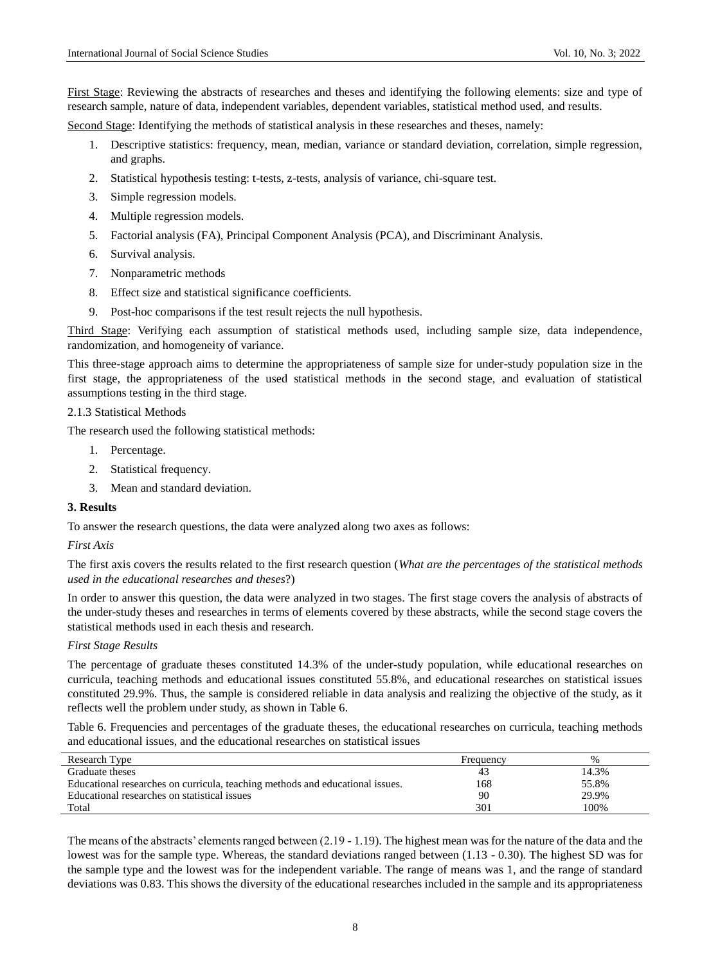First Stage: Reviewing the abstracts of researches and theses and identifying the following elements: size and type of research sample, nature of data, independent variables, dependent variables, statistical method used, and results.

Second Stage: Identifying the methods of statistical analysis in these researches and theses, namely:

- 1. Descriptive statistics: frequency, mean, median, variance or standard deviation, correlation, simple regression, and graphs.
- 2. Statistical hypothesis testing: t-tests, z-tests, analysis of variance, chi-square test.
- 3. Simple regression models.
- 4. Multiple regression models.
- 5. Factorial analysis (FA), Principal Component Analysis (PCA), and Discriminant Analysis.
- 6. Survival analysis.
- 7. Nonparametric methods
- 8. Effect size and statistical significance coefficients.
- 9. Post-hoc comparisons if the test result rejects the null hypothesis.

Third Stage: Verifying each assumption of statistical methods used, including sample size, data independence, randomization, and homogeneity of variance.

This three-stage approach aims to determine the appropriateness of sample size for under-study population size in the first stage, the appropriateness of the used statistical methods in the second stage, and evaluation of statistical assumptions testing in the third stage.

#### 2.1.3 Statistical Methods

The research used the following statistical methods:

- 1. Percentage.
- 2. Statistical frequency.
- 3. Mean and standard deviation.

# **3. Results**

To answer the research questions, the data were analyzed along two axes as follows:

## *First Axis*

The first axis covers the results related to the first research question (*What are the percentages of the statistical methods used in the educational researches and theses*?)

In order to answer this question, the data were analyzed in two stages. The first stage covers the analysis of abstracts of the under-study theses and researches in terms of elements covered by these abstracts, while the second stage covers the statistical methods used in each thesis and research.

#### *First Stage Results*

The percentage of graduate theses constituted 14.3% of the under-study population, while educational researches on curricula, teaching methods and educational issues constituted 55.8%, and educational researches on statistical issues constituted 29.9%. Thus, the sample is considered reliable in data analysis and realizing the objective of the study, as it reflects well the problem under study, as shown in Table 6.

Table 6. Frequencies and percentages of the graduate theses, the educational researches on curricula, teaching methods and educational issues, and the educational researches on statistical issues

| Research Type                                                                 | Frequency | $\%$  |
|-------------------------------------------------------------------------------|-----------|-------|
| Graduate theses                                                               | 43        | 14.3% |
| Educational researches on curricula, teaching methods and educational issues. | 168       | 55.8% |
| Educational researches on statistical issues                                  | 90        | 29.9% |
| Total                                                                         | 301       | 100%  |

The means of the abstracts' elements ranged between (2.19 - 1.19). The highest mean was for the nature of the data and the lowest was for the sample type. Whereas, the standard deviations ranged between (1.13 - 0.30). The highest SD was for the sample type and the lowest was for the independent variable. The range of means was 1, and the range of standard deviations was 0.83. This shows the diversity of the educational researches included in the sample and its appropriateness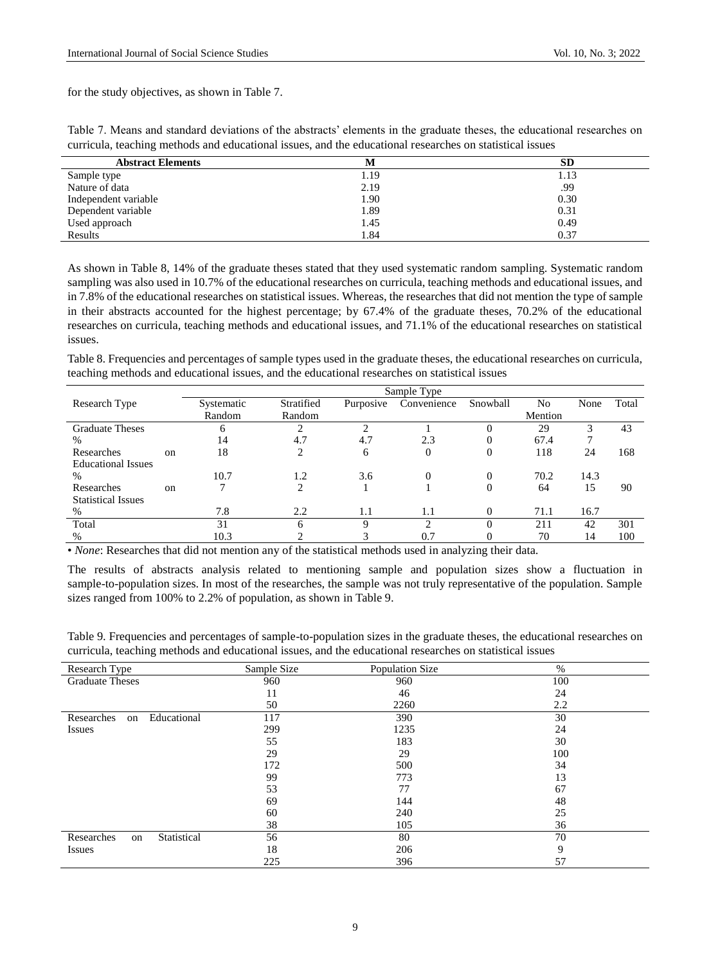for the study objectives, as shown in Table 7.

Table 7. Means and standard deviations of the abstracts' elements in the graduate theses, the educational researches on curricula, teaching methods and educational issues, and the educational researches on statistical issues

| <b>Abstract Elements</b> | M    | <b>SD</b> |
|--------------------------|------|-----------|
| Sample type              | 1.19 | 1.13      |
| Nature of data           | 2.19 | .99       |
| Independent variable     | 1.90 | 0.30      |
| Dependent variable       | 1.89 | 0.31      |
| Used approach            | 1.45 | 0.49      |
| Results                  | 1.84 | 0.37      |

As shown in Table 8, 14% of the graduate theses stated that they used systematic random sampling. Systematic random sampling was also used in 10.7% of the educational researches on curricula, teaching methods and educational issues, and in 7.8% of the educational researches on statistical issues. Whereas, the researches that did not mention the type of sample in their abstracts accounted for the highest percentage; by 67.4% of the graduate theses, 70.2% of the educational researches on curricula, teaching methods and educational issues, and 71.1% of the educational researches on statistical issues.

Table 8. Frequencies and percentages of sample types used in the graduate theses, the educational researches on curricula, teaching methods and educational issues, and the educational researches on statistical issues

| Sample Type   |            |            |           |               |                |         |      |       |
|---------------|------------|------------|-----------|---------------|----------------|---------|------|-------|
|               | Systematic | Stratified | Purposive | Convenience   | Snowball       | No      | None | Total |
|               | Random     | Random     |           |               |                | Mention |      |       |
|               | O          | ◠          | ◠         |               |                | 29      | 3    | 43    |
|               | 14         | 4.7        | 4.7       | 2.3           | $\theta$       | 67.4    |      |       |
| <sub>on</sub> | 18         | 2          | 6         | $\mathbf{0}$  | $\overline{0}$ | 118     | 24   | 168   |
|               |            |            |           |               |                |         |      |       |
|               | 10.7       | 1.2        | 3.6       | $\Omega$      | $\theta$       | 70.2    | 14.3 |       |
| <sub>on</sub> |            | 2          |           |               | $\theta$       | 64      | 15   | 90    |
|               |            |            |           |               |                |         |      |       |
|               | 7.8        | 2.2        | 1.1       | 1.1           | $\Omega$       | 71.1    | 16.7 |       |
|               | 31         | 6          | Q         | $\mathcal{L}$ |                | 211     | 42   | 301   |
|               | 10.3       |            |           | 0.7           | $\Omega$       | 70      | 14   | 100   |
|               |            |            |           |               |                |         |      |       |

• *None*: Researches that did not mention any of the statistical methods used in analyzing their data.

The results of abstracts analysis related to mentioning sample and population sizes show a fluctuation in sample-to-population sizes. In most of the researches, the sample was not truly representative of the population. Sample sizes ranged from 100% to 2.2% of population, as shown in Table 9.

Table 9. Frequencies and percentages of sample-to-population sizes in the graduate theses, the educational researches on curricula, teaching methods and educational issues, and the educational researches on statistical issues

| Research Type                   | Sample Size | Population Size | %   |
|---------------------------------|-------------|-----------------|-----|
| <b>Graduate Theses</b>          | 960         | 960             | 100 |
|                                 | 11          | 46              | 24  |
|                                 | 50          | 2260            | 2.2 |
| Educational<br>Researches<br>on | 117         | 390             | 30  |
| <b>Issues</b>                   | 299         | 1235            | 24  |
|                                 | 55          | 183             | 30  |
|                                 | 29          | 29              | 100 |
|                                 | 172         | 500             | 34  |
|                                 | 99          | 773             | 13  |
|                                 | 53          | 77              | 67  |
|                                 | 69          | 144             | 48  |
|                                 | 60          | 240             | 25  |
|                                 | 38          | 105             | 36  |
| Statistical<br>Researches<br>on | 56          | 80              | 70  |
| <b>Issues</b>                   | 18          | 206             | 9   |
|                                 | 225         | 396             | 57  |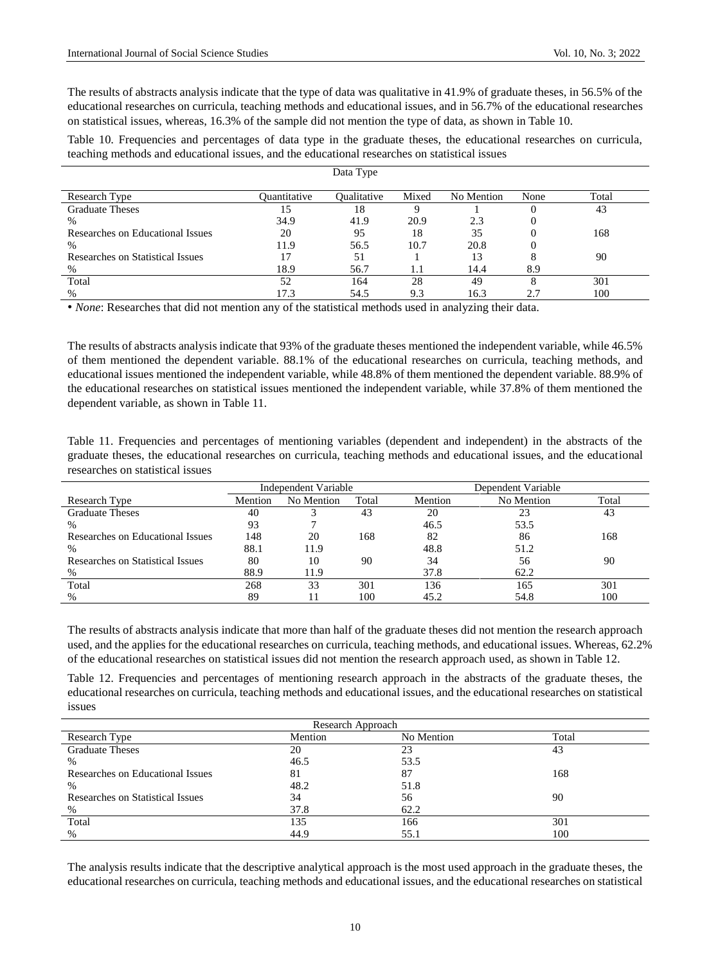The results of abstracts analysis indicate that the type of data was qualitative in 41.9% of graduate theses, in 56.5% of the educational researches on curricula, teaching methods and educational issues, and in 56.7% of the educational researches on statistical issues, whereas, 16.3% of the sample did not mention the type of data, as shown in Table 10.

Table 10. Frequencies and percentages of data type in the graduate theses, the educational researches on curricula, teaching methods and educational issues, and the educational researches on statistical issues

| Data Type                        |              |                    |       |            |      |       |
|----------------------------------|--------------|--------------------|-------|------------|------|-------|
| Research Type                    | Ouantitative | <b>Oualitative</b> | Mixed | No Mention | None | Total |
| <b>Graduate Theses</b>           | 15           | 18                 |       |            | 0    | 43    |
| %                                | 34.9         | 41.9               | 20.9  | 2.3        |      |       |
| Researches on Educational Issues | 20           | 95                 | 18    | 35         |      | 168   |
| %                                | 11.9         | 56.5               | 10.7  | 20.8       |      |       |
| Researches on Statistical Issues | 17           | 51                 |       | 13         | 8    | 90    |
| $\%$                             | 18.9         | 56.7               | 1.1   | 14.4       | 8.9  |       |
| Total                            | 52           | 164                | 28    | 49         | 8    | 301   |
| %                                | 17.3         | 54.5               | 9.3   | 16.3       | 2.7  | 100   |

• *None*: Researches that did not mention any of the statistical methods used in analyzing their data.

The results of abstracts analysis indicate that 93% of the graduate theses mentioned the independent variable, while 46.5% of them mentioned the dependent variable. 88.1% of the educational researches on curricula, teaching methods, and educational issues mentioned the independent variable, while 48.8% of them mentioned the dependent variable. 88.9% of the educational researches on statistical issues mentioned the independent variable, while 37.8% of them mentioned the dependent variable, as shown in Table 11.

Table 11. Frequencies and percentages of mentioning variables (dependent and independent) in the abstracts of the graduate theses, the educational researches on curricula, teaching methods and educational issues, and the educational researches on statistical issues

|                                  | Independent Variable |            |       |         | Dependent Variable |       |
|----------------------------------|----------------------|------------|-------|---------|--------------------|-------|
| Research Type                    | Mention              | No Mention | Total | Mention | No Mention         | Total |
| <b>Graduate Theses</b>           | 40                   |            | 43    | 20      | 23                 | 43    |
| $\%$                             | 93                   |            |       | 46.5    | 53.5               |       |
| Researches on Educational Issues | 148                  | 20         | 168   | 82      | 86                 | 168   |
| %                                | 88.1                 | 11.9       |       | 48.8    | 51.2               |       |
| Researches on Statistical Issues | 80                   | 10         | 90    | 34      | 56                 | 90    |
| $\%$                             | 88.9                 | 11.9       |       | 37.8    | 62.2               |       |
| Total                            | 268                  | 33         | 301   | 136     | 165                | 301   |
| %                                | 89                   |            | 100   | 45.2    | 54.8               | 100   |

The results of abstracts analysis indicate that more than half of the graduate theses did not mention the research approach used, and the applies for the educational researches on curricula, teaching methods, and educational issues. Whereas, 62.2% of the educational researches on statistical issues did not mention the research approach used, as shown in Table 12.

Table 12. Frequencies and percentages of mentioning research approach in the abstracts of the graduate theses, the educational researches on curricula, teaching methods and educational issues, and the educational researches on statistical issues

| Research Approach                |         |            |       |  |  |
|----------------------------------|---------|------------|-------|--|--|
| <b>Research Type</b>             | Mention | No Mention | Total |  |  |
| <b>Graduate Theses</b>           | 20      | 23         | 43    |  |  |
| $\%$                             | 46.5    | 53.5       |       |  |  |
| Researches on Educational Issues | 81      | 87         | 168   |  |  |
| $\%$                             | 48.2    | 51.8       |       |  |  |
| Researches on Statistical Issues | 34      | 56         | 90    |  |  |
| %                                | 37.8    | 62.2       |       |  |  |
| Total                            | 135     | 166        | 301   |  |  |
| $\%$                             | 44.9    | 55.1       | 100   |  |  |

The analysis results indicate that the descriptive analytical approach is the most used approach in the graduate theses, the educational researches on curricula, teaching methods and educational issues, and the educational researches on statistical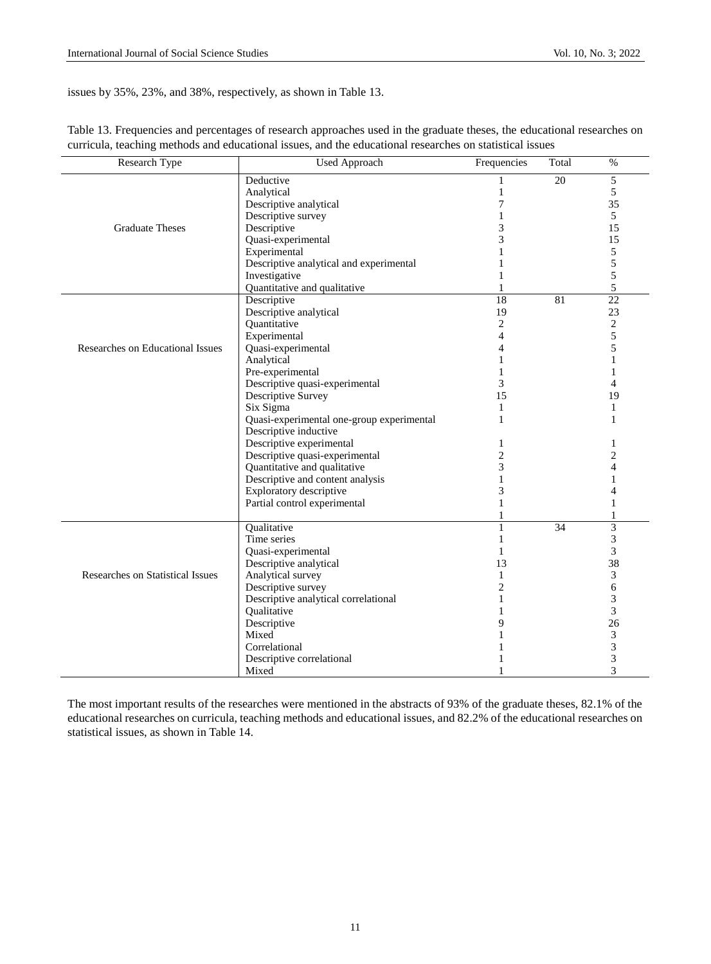issues by 35%, 23%, and 38%, respectively, as shown in Table 13.

| 5<br>20<br>Deductive<br>5<br>Analytical<br>1<br>7<br>Descriptive analytical<br>35<br>Descriptive survey<br>$\mathbf{1}$<br>5<br>3<br><b>Graduate Theses</b><br>Descriptive<br>15<br>3<br>Quasi-experimental<br>15<br>5<br>Experimental<br>1<br>5<br>Descriptive analytical and experimental<br>1<br>5<br>Investigative<br>1<br>5<br>Quantitative and qualitative<br>$\mathbf{1}$<br>18<br>$\overline{22}$<br>Descriptive<br>81<br>Descriptive analytical<br>19<br>23<br>$\overline{c}$<br>$\overline{c}$<br>Quantitative<br>5<br>Experimental<br>$\overline{4}$<br>5<br>Quasi-experimental<br>Researches on Educational Issues<br>$\overline{4}$<br>Analytical<br>$\mathbf{1}$<br>$\mathbf{1}$<br>Pre-experimental<br>$\mathbf{1}$<br>$\mathbf{1}$<br>Descriptive quasi-experimental<br>3<br>$\overline{4}$<br>Descriptive Survey<br>15<br>19<br>Six Sigma<br>$\mathbf{1}$<br>$\mathbf{1}$<br>Quasi-experimental one-group experimental<br>$\mathbf{1}$<br>1<br>Descriptive inductive<br>Descriptive experimental<br>$\mathbf{1}$<br>1<br>Descriptive quasi-experimental<br>$\overline{c}$<br>$\overline{2}$<br>3<br>Quantitative and qualitative<br>$\overline{4}$<br>Descriptive and content analysis<br>$\mathbf{1}$<br>1<br>3<br>Exploratory descriptive<br>$\overline{4}$<br>Partial control experimental<br>1<br>$\mathbf{1}$<br>1<br>$\mathbf{1}$<br>$\overline{3}$<br>Qualitative<br>$\mathbf{1}$<br>34<br>Time series<br>3<br>$\mathbf{1}$<br>3<br>Quasi-experimental<br>$\mathbf{1}$<br>38<br>Descriptive analytical<br>13<br>3<br>Researches on Statistical Issues<br>Analytical survey<br>$\mathbf{1}$<br>Descriptive survey<br>$\overline{2}$<br>6<br>3<br>Descriptive analytical correlational<br>$\mathbf{1}$<br>$\overline{3}$<br>Qualitative<br>1<br>Descriptive<br>9<br>26<br>3<br>Mixed<br>1<br>3<br>Correlational<br>3<br>Descriptive correlational | Research Type | <b>Used Approach</b> | Frequencies | Total | $\%$           |
|-------------------------------------------------------------------------------------------------------------------------------------------------------------------------------------------------------------------------------------------------------------------------------------------------------------------------------------------------------------------------------------------------------------------------------------------------------------------------------------------------------------------------------------------------------------------------------------------------------------------------------------------------------------------------------------------------------------------------------------------------------------------------------------------------------------------------------------------------------------------------------------------------------------------------------------------------------------------------------------------------------------------------------------------------------------------------------------------------------------------------------------------------------------------------------------------------------------------------------------------------------------------------------------------------------------------------------------------------------------------------------------------------------------------------------------------------------------------------------------------------------------------------------------------------------------------------------------------------------------------------------------------------------------------------------------------------------------------------------------------------------------------------------------------------------------------------------------------------------------------------|---------------|----------------------|-------------|-------|----------------|
|                                                                                                                                                                                                                                                                                                                                                                                                                                                                                                                                                                                                                                                                                                                                                                                                                                                                                                                                                                                                                                                                                                                                                                                                                                                                                                                                                                                                                                                                                                                                                                                                                                                                                                                                                                                                                                                                         |               |                      |             |       |                |
|                                                                                                                                                                                                                                                                                                                                                                                                                                                                                                                                                                                                                                                                                                                                                                                                                                                                                                                                                                                                                                                                                                                                                                                                                                                                                                                                                                                                                                                                                                                                                                                                                                                                                                                                                                                                                                                                         |               |                      |             |       |                |
|                                                                                                                                                                                                                                                                                                                                                                                                                                                                                                                                                                                                                                                                                                                                                                                                                                                                                                                                                                                                                                                                                                                                                                                                                                                                                                                                                                                                                                                                                                                                                                                                                                                                                                                                                                                                                                                                         |               |                      |             |       |                |
|                                                                                                                                                                                                                                                                                                                                                                                                                                                                                                                                                                                                                                                                                                                                                                                                                                                                                                                                                                                                                                                                                                                                                                                                                                                                                                                                                                                                                                                                                                                                                                                                                                                                                                                                                                                                                                                                         |               |                      |             |       |                |
|                                                                                                                                                                                                                                                                                                                                                                                                                                                                                                                                                                                                                                                                                                                                                                                                                                                                                                                                                                                                                                                                                                                                                                                                                                                                                                                                                                                                                                                                                                                                                                                                                                                                                                                                                                                                                                                                         |               |                      |             |       |                |
|                                                                                                                                                                                                                                                                                                                                                                                                                                                                                                                                                                                                                                                                                                                                                                                                                                                                                                                                                                                                                                                                                                                                                                                                                                                                                                                                                                                                                                                                                                                                                                                                                                                                                                                                                                                                                                                                         |               |                      |             |       |                |
|                                                                                                                                                                                                                                                                                                                                                                                                                                                                                                                                                                                                                                                                                                                                                                                                                                                                                                                                                                                                                                                                                                                                                                                                                                                                                                                                                                                                                                                                                                                                                                                                                                                                                                                                                                                                                                                                         |               |                      |             |       |                |
|                                                                                                                                                                                                                                                                                                                                                                                                                                                                                                                                                                                                                                                                                                                                                                                                                                                                                                                                                                                                                                                                                                                                                                                                                                                                                                                                                                                                                                                                                                                                                                                                                                                                                                                                                                                                                                                                         |               |                      |             |       |                |
|                                                                                                                                                                                                                                                                                                                                                                                                                                                                                                                                                                                                                                                                                                                                                                                                                                                                                                                                                                                                                                                                                                                                                                                                                                                                                                                                                                                                                                                                                                                                                                                                                                                                                                                                                                                                                                                                         |               |                      |             |       |                |
|                                                                                                                                                                                                                                                                                                                                                                                                                                                                                                                                                                                                                                                                                                                                                                                                                                                                                                                                                                                                                                                                                                                                                                                                                                                                                                                                                                                                                                                                                                                                                                                                                                                                                                                                                                                                                                                                         |               |                      |             |       |                |
|                                                                                                                                                                                                                                                                                                                                                                                                                                                                                                                                                                                                                                                                                                                                                                                                                                                                                                                                                                                                                                                                                                                                                                                                                                                                                                                                                                                                                                                                                                                                                                                                                                                                                                                                                                                                                                                                         |               |                      |             |       |                |
|                                                                                                                                                                                                                                                                                                                                                                                                                                                                                                                                                                                                                                                                                                                                                                                                                                                                                                                                                                                                                                                                                                                                                                                                                                                                                                                                                                                                                                                                                                                                                                                                                                                                                                                                                                                                                                                                         |               |                      |             |       |                |
|                                                                                                                                                                                                                                                                                                                                                                                                                                                                                                                                                                                                                                                                                                                                                                                                                                                                                                                                                                                                                                                                                                                                                                                                                                                                                                                                                                                                                                                                                                                                                                                                                                                                                                                                                                                                                                                                         |               |                      |             |       |                |
|                                                                                                                                                                                                                                                                                                                                                                                                                                                                                                                                                                                                                                                                                                                                                                                                                                                                                                                                                                                                                                                                                                                                                                                                                                                                                                                                                                                                                                                                                                                                                                                                                                                                                                                                                                                                                                                                         |               |                      |             |       |                |
|                                                                                                                                                                                                                                                                                                                                                                                                                                                                                                                                                                                                                                                                                                                                                                                                                                                                                                                                                                                                                                                                                                                                                                                                                                                                                                                                                                                                                                                                                                                                                                                                                                                                                                                                                                                                                                                                         |               |                      |             |       |                |
|                                                                                                                                                                                                                                                                                                                                                                                                                                                                                                                                                                                                                                                                                                                                                                                                                                                                                                                                                                                                                                                                                                                                                                                                                                                                                                                                                                                                                                                                                                                                                                                                                                                                                                                                                                                                                                                                         |               |                      |             |       |                |
|                                                                                                                                                                                                                                                                                                                                                                                                                                                                                                                                                                                                                                                                                                                                                                                                                                                                                                                                                                                                                                                                                                                                                                                                                                                                                                                                                                                                                                                                                                                                                                                                                                                                                                                                                                                                                                                                         |               |                      |             |       |                |
|                                                                                                                                                                                                                                                                                                                                                                                                                                                                                                                                                                                                                                                                                                                                                                                                                                                                                                                                                                                                                                                                                                                                                                                                                                                                                                                                                                                                                                                                                                                                                                                                                                                                                                                                                                                                                                                                         |               |                      |             |       |                |
|                                                                                                                                                                                                                                                                                                                                                                                                                                                                                                                                                                                                                                                                                                                                                                                                                                                                                                                                                                                                                                                                                                                                                                                                                                                                                                                                                                                                                                                                                                                                                                                                                                                                                                                                                                                                                                                                         |               |                      |             |       |                |
|                                                                                                                                                                                                                                                                                                                                                                                                                                                                                                                                                                                                                                                                                                                                                                                                                                                                                                                                                                                                                                                                                                                                                                                                                                                                                                                                                                                                                                                                                                                                                                                                                                                                                                                                                                                                                                                                         |               |                      |             |       |                |
|                                                                                                                                                                                                                                                                                                                                                                                                                                                                                                                                                                                                                                                                                                                                                                                                                                                                                                                                                                                                                                                                                                                                                                                                                                                                                                                                                                                                                                                                                                                                                                                                                                                                                                                                                                                                                                                                         |               |                      |             |       |                |
|                                                                                                                                                                                                                                                                                                                                                                                                                                                                                                                                                                                                                                                                                                                                                                                                                                                                                                                                                                                                                                                                                                                                                                                                                                                                                                                                                                                                                                                                                                                                                                                                                                                                                                                                                                                                                                                                         |               |                      |             |       |                |
|                                                                                                                                                                                                                                                                                                                                                                                                                                                                                                                                                                                                                                                                                                                                                                                                                                                                                                                                                                                                                                                                                                                                                                                                                                                                                                                                                                                                                                                                                                                                                                                                                                                                                                                                                                                                                                                                         |               |                      |             |       |                |
|                                                                                                                                                                                                                                                                                                                                                                                                                                                                                                                                                                                                                                                                                                                                                                                                                                                                                                                                                                                                                                                                                                                                                                                                                                                                                                                                                                                                                                                                                                                                                                                                                                                                                                                                                                                                                                                                         |               |                      |             |       |                |
|                                                                                                                                                                                                                                                                                                                                                                                                                                                                                                                                                                                                                                                                                                                                                                                                                                                                                                                                                                                                                                                                                                                                                                                                                                                                                                                                                                                                                                                                                                                                                                                                                                                                                                                                                                                                                                                                         |               |                      |             |       |                |
|                                                                                                                                                                                                                                                                                                                                                                                                                                                                                                                                                                                                                                                                                                                                                                                                                                                                                                                                                                                                                                                                                                                                                                                                                                                                                                                                                                                                                                                                                                                                                                                                                                                                                                                                                                                                                                                                         |               |                      |             |       |                |
|                                                                                                                                                                                                                                                                                                                                                                                                                                                                                                                                                                                                                                                                                                                                                                                                                                                                                                                                                                                                                                                                                                                                                                                                                                                                                                                                                                                                                                                                                                                                                                                                                                                                                                                                                                                                                                                                         |               |                      |             |       |                |
|                                                                                                                                                                                                                                                                                                                                                                                                                                                                                                                                                                                                                                                                                                                                                                                                                                                                                                                                                                                                                                                                                                                                                                                                                                                                                                                                                                                                                                                                                                                                                                                                                                                                                                                                                                                                                                                                         |               |                      |             |       |                |
|                                                                                                                                                                                                                                                                                                                                                                                                                                                                                                                                                                                                                                                                                                                                                                                                                                                                                                                                                                                                                                                                                                                                                                                                                                                                                                                                                                                                                                                                                                                                                                                                                                                                                                                                                                                                                                                                         |               |                      |             |       |                |
|                                                                                                                                                                                                                                                                                                                                                                                                                                                                                                                                                                                                                                                                                                                                                                                                                                                                                                                                                                                                                                                                                                                                                                                                                                                                                                                                                                                                                                                                                                                                                                                                                                                                                                                                                                                                                                                                         |               |                      |             |       |                |
|                                                                                                                                                                                                                                                                                                                                                                                                                                                                                                                                                                                                                                                                                                                                                                                                                                                                                                                                                                                                                                                                                                                                                                                                                                                                                                                                                                                                                                                                                                                                                                                                                                                                                                                                                                                                                                                                         |               |                      |             |       |                |
|                                                                                                                                                                                                                                                                                                                                                                                                                                                                                                                                                                                                                                                                                                                                                                                                                                                                                                                                                                                                                                                                                                                                                                                                                                                                                                                                                                                                                                                                                                                                                                                                                                                                                                                                                                                                                                                                         |               |                      |             |       |                |
|                                                                                                                                                                                                                                                                                                                                                                                                                                                                                                                                                                                                                                                                                                                                                                                                                                                                                                                                                                                                                                                                                                                                                                                                                                                                                                                                                                                                                                                                                                                                                                                                                                                                                                                                                                                                                                                                         |               |                      |             |       |                |
|                                                                                                                                                                                                                                                                                                                                                                                                                                                                                                                                                                                                                                                                                                                                                                                                                                                                                                                                                                                                                                                                                                                                                                                                                                                                                                                                                                                                                                                                                                                                                                                                                                                                                                                                                                                                                                                                         |               |                      |             |       |                |
|                                                                                                                                                                                                                                                                                                                                                                                                                                                                                                                                                                                                                                                                                                                                                                                                                                                                                                                                                                                                                                                                                                                                                                                                                                                                                                                                                                                                                                                                                                                                                                                                                                                                                                                                                                                                                                                                         |               |                      |             |       |                |
|                                                                                                                                                                                                                                                                                                                                                                                                                                                                                                                                                                                                                                                                                                                                                                                                                                                                                                                                                                                                                                                                                                                                                                                                                                                                                                                                                                                                                                                                                                                                                                                                                                                                                                                                                                                                                                                                         |               |                      |             |       |                |
|                                                                                                                                                                                                                                                                                                                                                                                                                                                                                                                                                                                                                                                                                                                                                                                                                                                                                                                                                                                                                                                                                                                                                                                                                                                                                                                                                                                                                                                                                                                                                                                                                                                                                                                                                                                                                                                                         |               |                      |             |       |                |
|                                                                                                                                                                                                                                                                                                                                                                                                                                                                                                                                                                                                                                                                                                                                                                                                                                                                                                                                                                                                                                                                                                                                                                                                                                                                                                                                                                                                                                                                                                                                                                                                                                                                                                                                                                                                                                                                         |               |                      |             |       |                |
|                                                                                                                                                                                                                                                                                                                                                                                                                                                                                                                                                                                                                                                                                                                                                                                                                                                                                                                                                                                                                                                                                                                                                                                                                                                                                                                                                                                                                                                                                                                                                                                                                                                                                                                                                                                                                                                                         |               |                      |             |       |                |
|                                                                                                                                                                                                                                                                                                                                                                                                                                                                                                                                                                                                                                                                                                                                                                                                                                                                                                                                                                                                                                                                                                                                                                                                                                                                                                                                                                                                                                                                                                                                                                                                                                                                                                                                                                                                                                                                         |               |                      |             |       |                |
|                                                                                                                                                                                                                                                                                                                                                                                                                                                                                                                                                                                                                                                                                                                                                                                                                                                                                                                                                                                                                                                                                                                                                                                                                                                                                                                                                                                                                                                                                                                                                                                                                                                                                                                                                                                                                                                                         |               |                      |             |       |                |
|                                                                                                                                                                                                                                                                                                                                                                                                                                                                                                                                                                                                                                                                                                                                                                                                                                                                                                                                                                                                                                                                                                                                                                                                                                                                                                                                                                                                                                                                                                                                                                                                                                                                                                                                                                                                                                                                         |               | Mixed                |             |       | $\overline{3}$ |

Table 13. Frequencies and percentages of research approaches used in the graduate theses, the educational researches on curricula, teaching methods and educational issues, and the educational researches on statistical issues

The most important results of the researches were mentioned in the abstracts of 93% of the graduate theses, 82.1% of the educational researches on curricula, teaching methods and educational issues, and 82.2% of the educational researches on statistical issues, as shown in Table 14.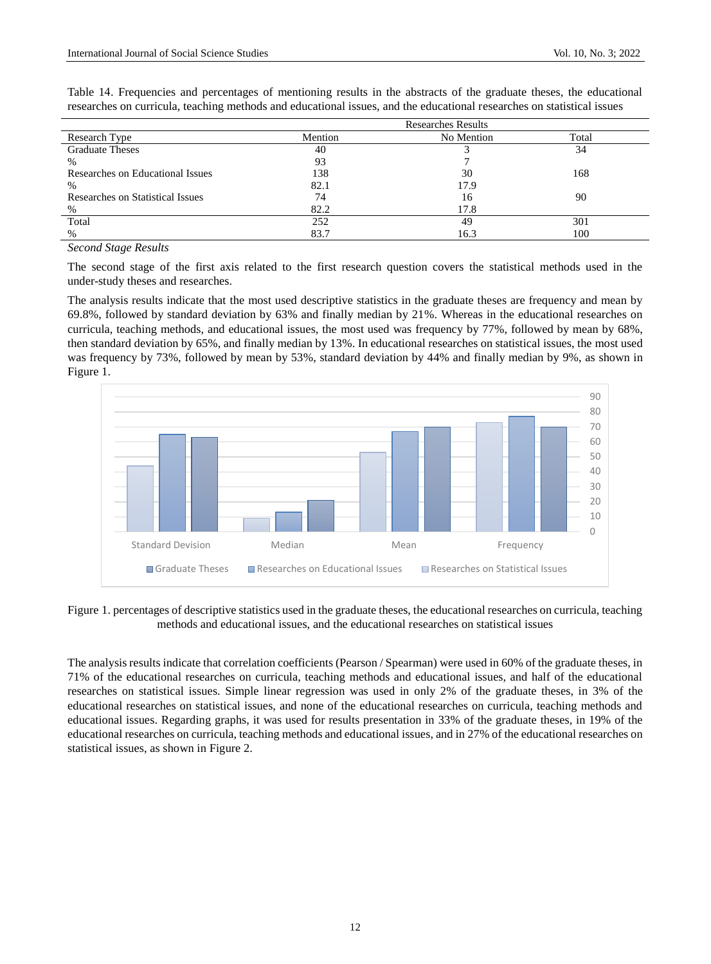| Research Type                    | Mention | No Mention | Total |
|----------------------------------|---------|------------|-------|
| <b>Graduate Theses</b>           | 40      |            | 34    |
| $\%$                             | 93      |            |       |
| Researches on Educational Issues | 138     | 30         | 168   |
| $\%$                             | 82.1    | 17.9       |       |
| Researches on Statistical Issues | 74      | 16         | 90    |
| $\%$                             | 82.2    | 17.8       |       |
| Total                            | 252     | 49         | 301   |
| $\%$                             | 83.7    | 16.3       | 100   |

Table 14. Frequencies and percentages of mentioning results in the abstracts of the graduate theses, the educational researches on curricula, teaching methods and educational issues, and the educational researches on statistical issues

# *Second Stage Results*

The second stage of the first axis related to the first research question covers the statistical methods used in the under-study theses and researches.

The analysis results indicate that the most used descriptive statistics in the graduate theses are frequency and mean by 69.8%, followed by standard deviation by 63% and finally median by 21%. Whereas in the educational researches on curricula, teaching methods, and educational issues, the most used was frequency by 77%, followed by mean by 68%, then standard deviation by 65%, and finally median by 13%. In educational researches on statistical issues, the most used was frequency by 73%, followed by mean by 53%, standard deviation by 44% and finally median by 9%, as shown in Figure 1.



Figure 1. percentages of descriptive statistics used in the graduate theses, the educational researches on curricula, teaching methods and educational issues, and the educational researches on statistical issues

The analysis results indicate that correlation coefficients (Pearson / Spearman) were used in 60% of the graduate theses, in 71% of the educational researches on curricula, teaching methods and educational issues, and half of the educational researches on statistical issues. Simple linear regression was used in only 2% of the graduate theses, in 3% of the educational researches on statistical issues, and none of the educational researches on curricula, teaching methods and educational issues. Regarding graphs, it was used for results presentation in 33% of the graduate theses, in 19% of the educational researches on curricula, teaching methods and educational issues, and in 27% of the educational researches on statistical issues, as shown in Figure 2.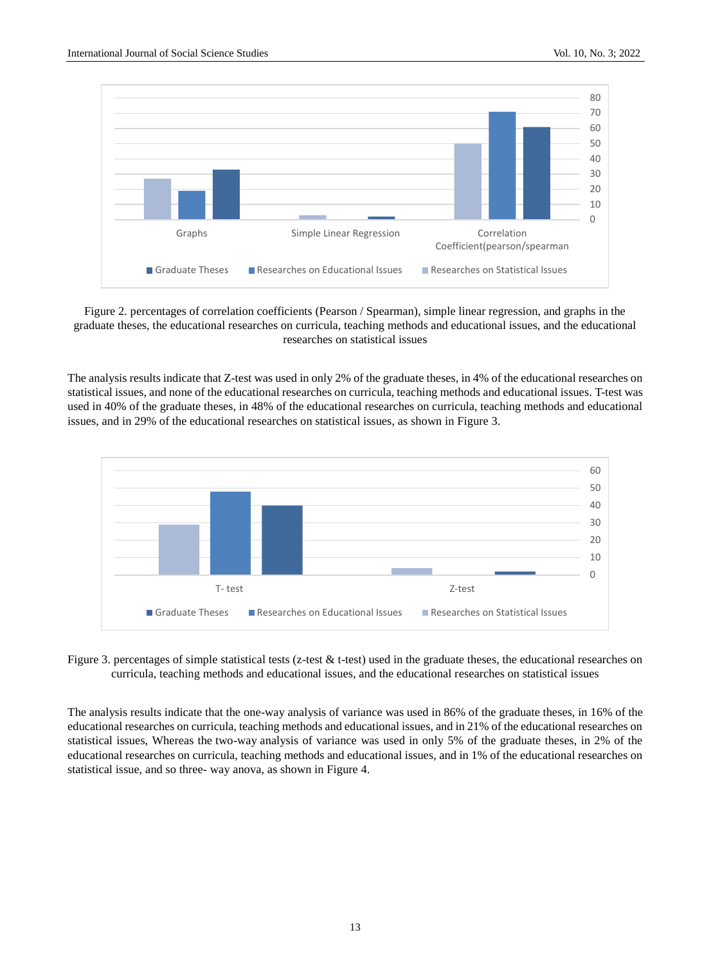

Figure 2. percentages of correlation coefficients (Pearson / Spearman), simple linear regression, and graphs in the graduate theses, the educational researches on curricula, teaching methods and educational issues, and the educational researches on statistical issues

The analysis results indicate that Z-test was used in only 2% of the graduate theses, in 4% of the educational researches on statistical issues, and none of the educational researches on curricula, teaching methods and educational issues. T-test was used in 40% of the graduate theses, in 48% of the educational researches on curricula, teaching methods and educational issues, and in 29% of the educational researches on statistical issues, as shown in Figure 3.



Figure 3. percentages of simple statistical tests (z-test  $\&$  t-test) used in the graduate theses, the educational researches on curricula, teaching methods and educational issues, and the educational researches on statistical issues

The analysis results indicate that the one-way analysis of variance was used in 86% of the graduate theses, in 16% of the educational researches on curricula, teaching methods and educational issues, and in 21% of the educational researches on statistical issues, Whereas the two-way analysis of variance was used in only 5% of the graduate theses, in 2% of the educational researches on curricula, teaching methods and educational issues, and in 1% of the educational researches on statistical issue, and so three- way anova, as shown in Figure 4.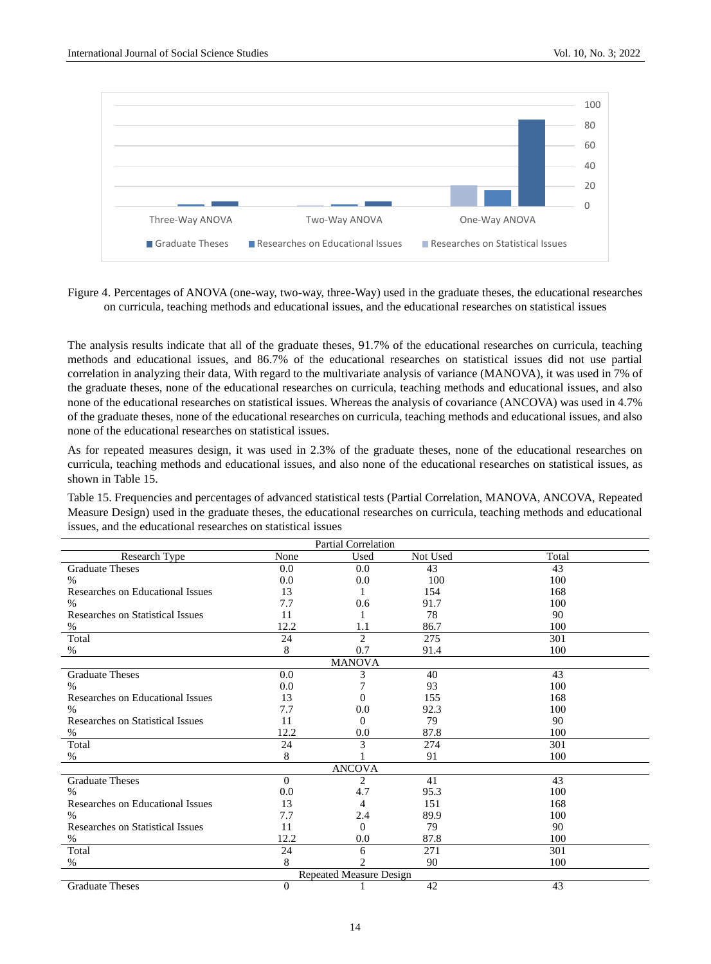

Figure 4. Percentages of ANOVA (one-way, two-way, three-Way) used in the graduate theses, the educational researches on curricula, teaching methods and educational issues, and the educational researches on statistical issues

The analysis results indicate that all of the graduate theses, 91.7% of the educational researches on curricula, teaching methods and educational issues, and 86.7% of the educational researches on statistical issues did not use partial correlation in analyzing their data, With regard to the multivariate analysis of variance (MANOVA), it was used in 7% of the graduate theses, none of the educational researches on curricula, teaching methods and educational issues, and also none of the educational researches on statistical issues. Whereas the analysis of covariance (ANCOVA) was used in 4.7% of the graduate theses, none of the educational researches on curricula, teaching methods and educational issues, and also none of the educational researches on statistical issues.

As for repeated measures design, it was used in 2.3% of the graduate theses, none of the educational researches on curricula, teaching methods and educational issues, and also none of the educational researches on statistical issues, as shown in Table 15.

Table 15. Frequencies and percentages of advanced statistical tests (Partial Correlation, MANOVA, ANCOVA, Repeated Measure Design) used in the graduate theses, the educational researches on curricula, teaching methods and educational issues, and the educational researches on statistical issues

|                                         | Partial Correlation |                             |          |       |  |  |
|-----------------------------------------|---------------------|-----------------------------|----------|-------|--|--|
| <b>Research Type</b>                    | None                | Used                        | Not Used | Total |  |  |
| <b>Graduate Theses</b>                  | 0.0                 | 0.0                         | 43       | 43    |  |  |
| $\%$                                    | 0.0                 | 0.0                         | 100      | 100   |  |  |
| Researches on Educational Issues        | 13                  | 1                           | 154      | 168   |  |  |
| $\%$                                    | 7.7                 | 0.6                         | 91.7     | 100   |  |  |
| <b>Researches on Statistical Issues</b> | 11                  |                             | 78       | 90    |  |  |
| %                                       | 12.2                | 1.1                         | 86.7     | 100   |  |  |
| Total                                   | 24                  | $\mathcal{D}_{\mathcal{L}}$ | 275      | 301   |  |  |
| $\%$                                    | 8                   | 0.7                         | 91.4     | 100   |  |  |
|                                         |                     | <b>MANOVA</b>               |          |       |  |  |
| <b>Graduate Theses</b>                  | 0.0                 | 3                           | 40       | 43    |  |  |
| $\%$                                    | 0.0                 |                             | 93       | 100   |  |  |
| Researches on Educational Issues        | 13                  | $\Omega$                    | 155      | 168   |  |  |
| $\frac{0}{0}$                           | 7.7                 | 0.0                         | 92.3     | 100   |  |  |
| <b>Researches on Statistical Issues</b> | 11                  | $\Omega$                    | 79       | 90    |  |  |
| %                                       | 12.2                | 0.0                         | 87.8     | 100   |  |  |
| Total                                   | 24                  | 3                           | 274      | 301   |  |  |
| $\%$                                    | 8                   |                             | 91       | 100   |  |  |
|                                         |                     | <b>ANCOVA</b>               |          |       |  |  |
| <b>Graduate Theses</b>                  | $\Omega$            | 2                           | 41       | 43    |  |  |
| $\%$                                    | 0.0                 | 4.7                         | 95.3     | 100   |  |  |
| Researches on Educational Issues        | 13                  | 4                           | 151      | 168   |  |  |
| $\frac{0}{0}$                           | 7.7                 | 2.4                         | 89.9     | 100   |  |  |
| <b>Researches on Statistical Issues</b> | 11                  | $\Omega$                    | 79       | 90    |  |  |
| %                                       | 12.2                | 0.0                         | 87.8     | 100   |  |  |
| Total                                   | 24                  | 6                           | 271      | 301   |  |  |
| $\%$                                    | 8                   | $\overline{2}$              | 90       | 100   |  |  |
|                                         |                     | Repeated Measure Design     |          |       |  |  |
| <b>Graduate Theses</b>                  | $\mathbf{0}$        | 1                           | 42       | 43    |  |  |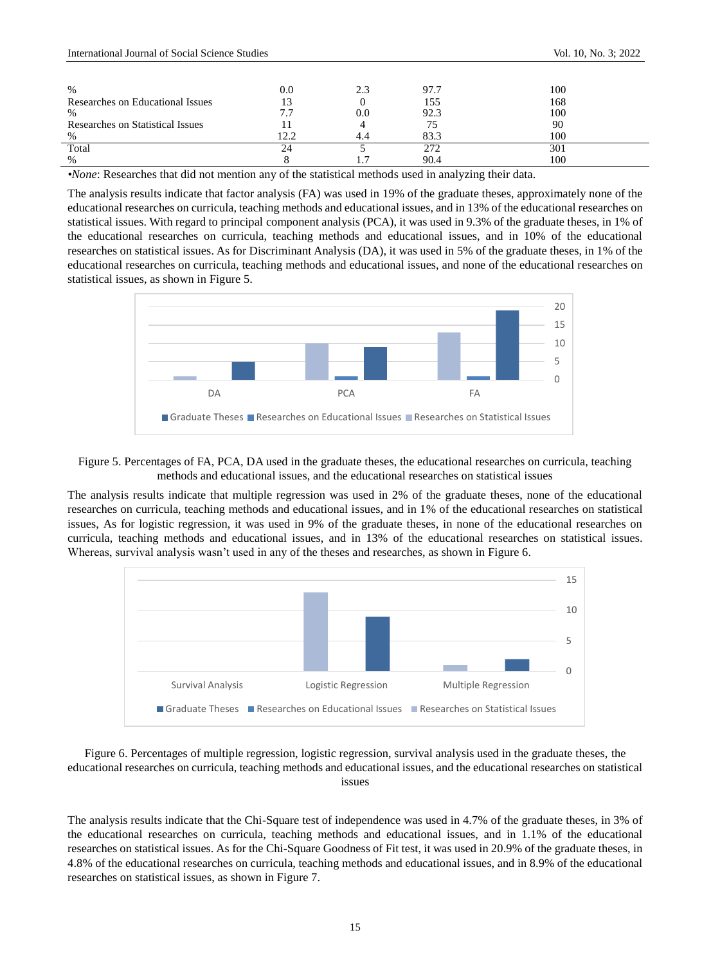| %                                | 0.0                      |     | 97.7 | 100 |
|----------------------------------|--------------------------|-----|------|-----|
| Researches on Educational Issues | 13                       |     | 155  | 168 |
| $\%$                             | $\overline{\phantom{a}}$ | J.O | 92.3 | 100 |
| Researches on Statistical Issues |                          |     |      | 90  |
| $\%$                             | 2.2                      |     | 83.3 | 100 |
| Total                            | 24                       |     | 272  | 301 |
| $\%$                             |                          |     | 90.4 | 100 |
| .<br>$ -$<br>-                   | $\sim$ $\sim$            | .   | .    | .   |

*•None*: Researches that did not mention any of the statistical methods used in analyzing their data.

The analysis results indicate that factor analysis (FA) was used in 19% of the graduate theses, approximately none of the educational researches on curricula, teaching methods and educational issues, and in 13% of the educational researches on statistical issues. With regard to principal component analysis (PCA), it was used in 9.3% of the graduate theses, in 1% of the educational researches on curricula, teaching methods and educational issues, and in 10% of the educational researches on statistical issues. As for Discriminant Analysis (DA), it was used in 5% of the graduate theses, in 1% of the educational researches on curricula, teaching methods and educational issues, and none of the educational researches on statistical issues, as shown in Figure 5.





The analysis results indicate that multiple regression was used in 2% of the graduate theses, none of the educational researches on curricula, teaching methods and educational issues, and in 1% of the educational researches on statistical issues, As for logistic regression, it was used in 9% of the graduate theses, in none of the educational researches on curricula, teaching methods and educational issues, and in 13% of the educational researches on statistical issues. Whereas, survival analysis wasn't used in any of the theses and researches, as shown in Figure 6.



Figure 6. Percentages of multiple regression, logistic regression, survival analysis used in the graduate theses, the educational researches on curricula, teaching methods and educational issues, and the educational researches on statistical issues

The analysis results indicate that the Chi-Square test of independence was used in 4.7% of the graduate theses, in 3% of the educational researches on curricula, teaching methods and educational issues, and in 1.1% of the educational researches on statistical issues. As for the Chi-Square Goodness of Fit test, it was used in 20.9% of the graduate theses, in 4.8% of the educational researches on curricula, teaching methods and educational issues, and in 8.9% of the educational researches on statistical issues, as shown in Figure 7.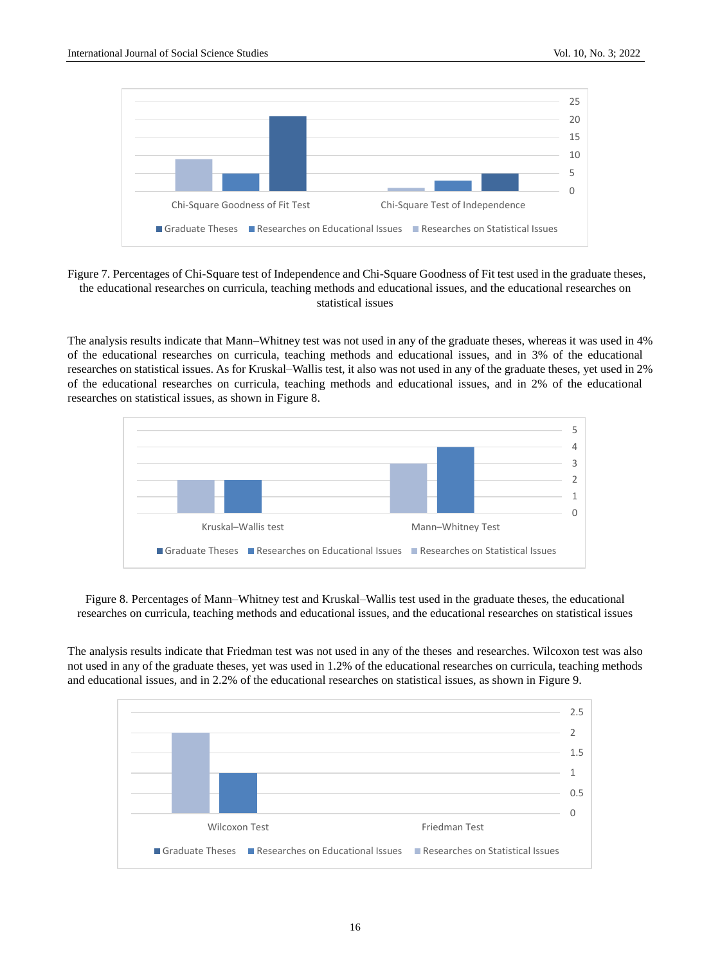

Figure 7. Percentages of Chi-Square test of Independence and Chi-Square Goodness of Fit test used in the graduate theses, the educational researches on curricula, teaching methods and educational issues, and the educational researches on statistical issues

The analysis results indicate that Mann–Whitney test was not used in any of the graduate theses, whereas it was used in 4% of the educational researches on curricula, teaching methods and educational issues, and in 3% of the educational researches on statistical issues. As for Kruskal–Wallis test, it also was not used in any of the graduate theses, yet used in 2% of the educational researches on curricula, teaching methods and educational issues, and in 2% of the educational researches on statistical issues, as shown in Figure 8.



Figure 8. Percentages of Mann–Whitney test and Kruskal–Wallis test used in the graduate theses, the educational researches on curricula, teaching methods and educational issues, and the educational researches on statistical issues

The analysis results indicate that Friedman test was not used in any of the theses and researches. Wilcoxon test was also not used in any of the graduate theses, yet was used in 1.2% of the educational researches on curricula, teaching methods and educational issues, and in 2.2% of the educational researches on statistical issues, as shown in Figure 9.

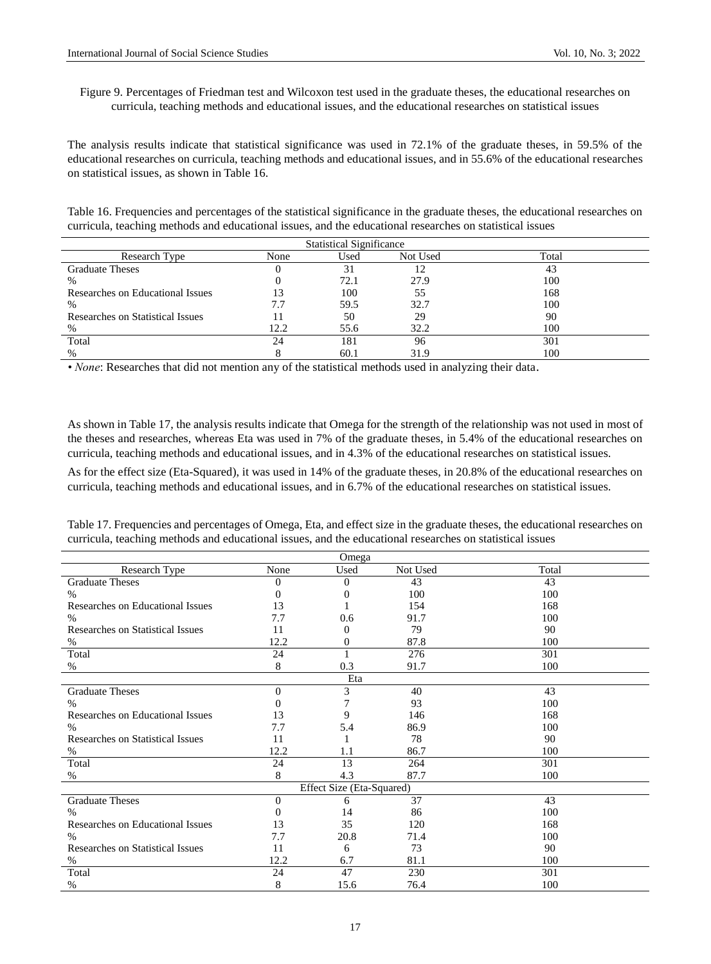# Figure 9. Percentages of Friedman test and Wilcoxon test used in the graduate theses, the educational researches on curricula, teaching methods and educational issues, and the educational researches on statistical issues

The analysis results indicate that statistical significance was used in 72.1% of the graduate theses, in 59.5% of the educational researches on curricula, teaching methods and educational issues, and in 55.6% of the educational researches on statistical issues, as shown in Table 16.

Table 16. Frequencies and percentages of the statistical significance in the graduate theses, the educational researches on curricula, teaching methods and educational issues, and the educational researches on statistical issues

| <b>Statistical Significance</b>  |      |      |          |       |  |
|----------------------------------|------|------|----------|-------|--|
| Research Type                    | None | Used | Not Used | Total |  |
| <b>Graduate Theses</b>           |      | 31   |          | 43    |  |
| %                                |      | 72.1 | 27.9     | 100   |  |
| Researches on Educational Issues |      | 100  | 55       | 168   |  |
| $\%$                             |      | 59.5 | 32.7     | 100   |  |
| Researches on Statistical Issues |      | 50   | 29       | 90    |  |
| $\%$                             | 12.2 | 55.6 | 32.2     | 100   |  |
| Total                            | 24   | 181  | 96       | 301   |  |
| %                                |      | 60.1 | 31.9     | 100   |  |

*• None*: Researches that did not mention any of the statistical methods used in analyzing their data.

As shown in Table 17, the analysis results indicate that Omega for the strength of the relationship was not used in most of the theses and researches, whereas Eta was used in 7% of the graduate theses, in 5.4% of the educational researches on curricula, teaching methods and educational issues, and in 4.3% of the educational researches on statistical issues.

As for the effect size (Eta-Squared), it was used in 14% of the graduate theses, in 20.8% of the educational researches on curricula, teaching methods and educational issues, and in 6.7% of the educational researches on statistical issues.

Table 17. Frequencies and percentages of Omega, Eta, and effect size in the graduate theses, the educational researches on curricula, teaching methods and educational issues, and the educational researches on statistical issues

| Omega                                   |          |                           |          |       |  |
|-----------------------------------------|----------|---------------------------|----------|-------|--|
| Research Type                           | None     | Used                      | Not Used | Total |  |
| <b>Graduate Theses</b>                  | $\theta$ | $\Omega$                  | 43       | 43    |  |
| $\%$                                    | $\Omega$ | $\Omega$                  | 100      | 100   |  |
| Researches on Educational Issues        | 13       |                           | 154      | 168   |  |
| $\%$                                    | 7.7      | 0.6                       | 91.7     | 100   |  |
| <b>Researches on Statistical Issues</b> | 11       | $\Omega$                  | 79       | 90    |  |
| %                                       | 12.2     | 0                         | 87.8     | 100   |  |
| Total                                   | 24       | 1                         | 276      | 301   |  |
| %                                       | 8        | 0.3                       | 91.7     | 100   |  |
|                                         |          | Eta                       |          |       |  |
| <b>Graduate Theses</b>                  | $\Omega$ | 3                         | 40       | 43    |  |
| $\%$                                    | 0        | 7                         | 93       | 100   |  |
| Researches on Educational Issues        | 13       | 9                         | 146      | 168   |  |
| $\%$                                    | 7.7      | 5.4                       | 86.9     | 100   |  |
| <b>Researches on Statistical Issues</b> | 11       |                           | 78       | 90    |  |
| %                                       | 12.2     | 1.1                       | 86.7     | 100   |  |
| Total                                   | 24       | 13                        | 264      | 301   |  |
| %                                       | 8        | 4.3                       | 87.7     | 100   |  |
|                                         |          | Effect Size (Eta-Squared) |          |       |  |
| <b>Graduate Theses</b>                  | $\Omega$ | 6                         | 37       | 43    |  |
| $\%$                                    | 0        | 14                        | 86       | 100   |  |
| Researches on Educational Issues        | 13       | 35                        | 120      | 168   |  |
| $\%$                                    | 7.7      | 20.8                      | 71.4     | 100   |  |
| Researches on Statistical Issues        | 11       | 6                         | 73       | 90    |  |
| %                                       | 12.2     | 6.7                       | 81.1     | 100   |  |
| Total                                   | 24       | 47                        | 230      | 301   |  |
| %                                       | 8        | 15.6                      | 76.4     | 100   |  |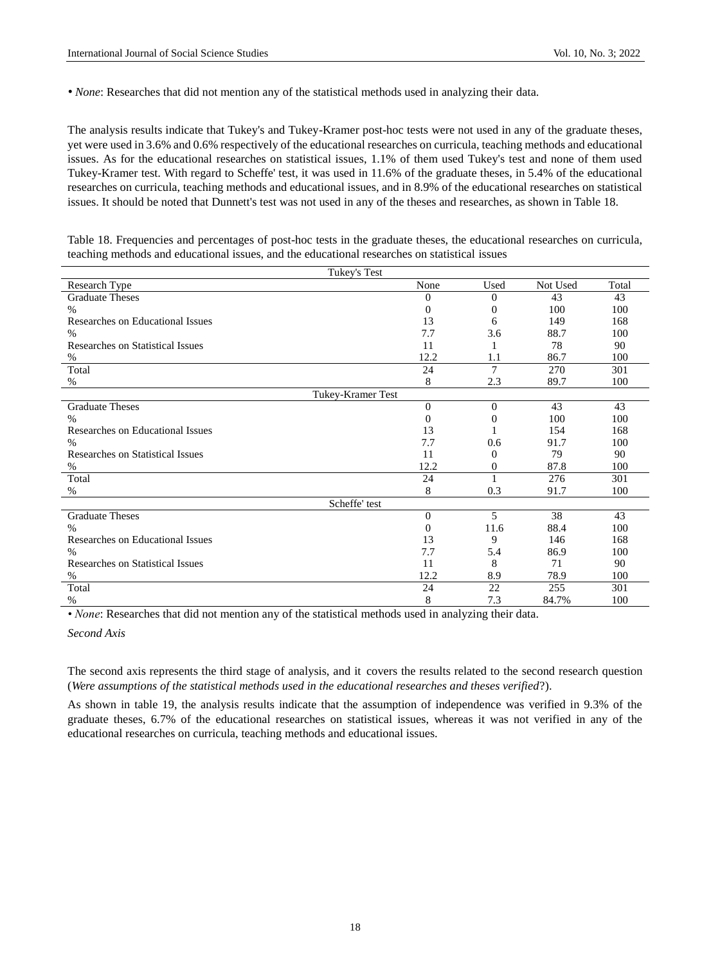• *None*: Researches that did not mention any of the statistical methods used in analyzing their data.

The analysis results indicate that Tukey's and Tukey-Kramer post-hoc tests were not used in any of the graduate theses, yet were used in 3.6% and 0.6% respectively of the educational researches on curricula, teaching methods and educational issues. As for the educational researches on statistical issues, 1.1% of them used Tukey's test and none of them used Tukey-Kramer test. With regard to Scheffe' test, it was used in 11.6% of the graduate theses, in 5.4% of the educational researches on curricula, teaching methods and educational issues, and in 8.9% of the educational researches on statistical issues. It should be noted that Dunnett's test was not used in any of the theses and researches, as shown in Table 18.

Table 18. Frequencies and percentages of post-hoc tests in the graduate theses, the educational researches on curricula, teaching methods and educational issues, and the educational researches on statistical issues

| Tukey's Test                     |                |          |          |       |  |
|----------------------------------|----------------|----------|----------|-------|--|
| Research Type                    | None           | Used     | Not Used | Total |  |
| <b>Graduate Theses</b>           | $\overline{0}$ | $\Omega$ | 43       | 43    |  |
| $\frac{0}{0}$                    | $\theta$       | 0        | 100      | 100   |  |
| Researches on Educational Issues | 13             | 6        | 149      | 168   |  |
| $\%$                             | 7.7            | 3.6      | 88.7     | 100   |  |
| Researches on Statistical Issues | 11             |          | 78       | 90    |  |
| %                                | 12.2           | 1.1      | 86.7     | 100   |  |
| Total                            | 24             | 7        | 270      | 301   |  |
| %                                | 8              | 2.3      | 89.7     | 100   |  |
| Tukey-Kramer Test                |                |          |          |       |  |
| <b>Graduate Theses</b>           | $\mathbf{0}$   | $\Omega$ | 43       | 43    |  |
| $\%$                             | $\Omega$       | 0        | 100      | 100   |  |
| Researches on Educational Issues | 13             | 1        | 154      | 168   |  |
| $\%$                             | 7.7            | 0.6      | 91.7     | 100   |  |
| Researches on Statistical Issues | 11             | 0        | 79       | 90    |  |
| %                                | 12.2           | 0        | 87.8     | 100   |  |
| Total                            | 24             |          | 276      | 301   |  |
| %                                | 8              | 0.3      | 91.7     | 100   |  |
| Scheffe' test                    |                |          |          |       |  |
| <b>Graduate Theses</b>           | $\theta$       | 5        | 38       | 43    |  |
| $\%$                             | $\Omega$       | 11.6     | 88.4     | 100   |  |
| Researches on Educational Issues | 13             | 9        | 146      | 168   |  |
| $\%$                             | 7.7            | 5.4      | 86.9     | 100   |  |
| Researches on Statistical Issues | 11             | 8        | 71       | 90    |  |
| %                                | 12.2           | 8.9      | 78.9     | 100   |  |
| Total                            | 24             | 22       | 255      | 301   |  |
| $\%$                             | 8              | 7.3      | 84.7%    | 100   |  |

*• None*: Researches that did not mention any of the statistical methods used in analyzing their data.

*Second Axis*

The second axis represents the third stage of analysis, and it covers the results related to the second research question (*Were assumptions of the statistical methods used in the educational researches and theses verified*?).

As shown in table 19, the analysis results indicate that the assumption of independence was verified in 9.3% of the graduate theses, 6.7% of the educational researches on statistical issues, whereas it was not verified in any of the educational researches on curricula, teaching methods and educational issues.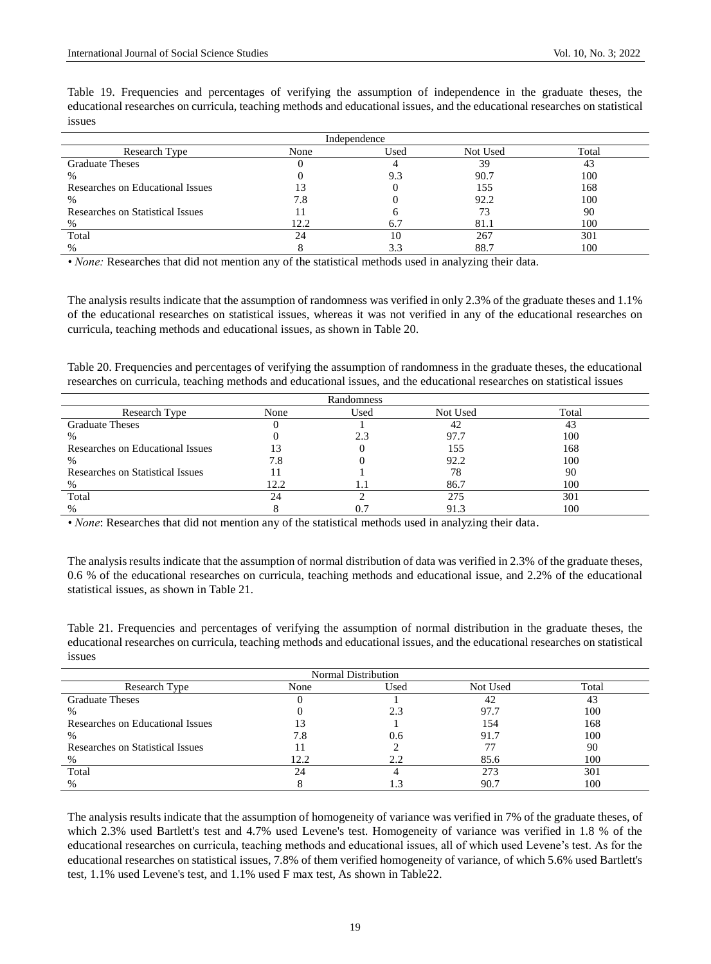Table 19. Frequencies and percentages of verifying the assumption of independence in the graduate theses, the educational researches on curricula, teaching methods and educational issues, and the educational researches on statistical issues

| Independence                     |      |      |          |       |  |  |
|----------------------------------|------|------|----------|-------|--|--|
| Research Type                    | None | Used | Not Used | Total |  |  |
| <b>Graduate Theses</b>           |      |      | 39       | 43    |  |  |
| %                                |      | 9.3  | 90.7     | 100   |  |  |
| Researches on Educational Issues |      |      | 155      | 168   |  |  |
| %                                | 7.8  |      | 92.2     | 100   |  |  |
| Researches on Statistical Issues |      |      |          | 90    |  |  |
| %                                | 12.2 | 6.7  | 81.1     | 100   |  |  |
| Total                            | 24   | 10   | 267      | 301   |  |  |
| $\%$                             |      |      | 88.7     | 100   |  |  |

*• None:* Researches that did not mention any of the statistical methods used in analyzing their data.

The analysis results indicate that the assumption of randomness was verified in only 2.3% of the graduate theses and 1.1% of the educational researches on statistical issues, whereas it was not verified in any of the educational researches on curricula, teaching methods and educational issues, as shown in Table 20.

Table 20. Frequencies and percentages of verifying the assumption of randomness in the graduate theses, the educational researches on curricula, teaching methods and educational issues, and the educational researches on statistical issues

| Randomness                       |      |      |          |       |  |
|----------------------------------|------|------|----------|-------|--|
| Research Type                    | None | Used | Not Used | Total |  |
| <b>Graduate Theses</b>           |      |      |          | 43    |  |
| $\%$                             |      |      | 97.7     | 100   |  |
| Researches on Educational Issues |      |      | 155      | 168   |  |
| %                                | 7.8  |      | 92.2     | 100   |  |
| Researches on Statistical Issues |      |      | 78       | -90   |  |
| %                                | 12.2 | 1.1  | 86.7     | 100   |  |
| Total                            |      |      | 275      | 301   |  |
| $\%$                             |      |      | 91.3     | 100   |  |

*• None*: Researches that did not mention any of the statistical methods used in analyzing their data.

The analysis results indicate that the assumption of normal distribution of data was verified in 2.3% of the graduate theses, 0.6 % of the educational researches on curricula, teaching methods and educational issue, and 2.2% of the educational statistical issues, as shown in Table 21.

Table 21. Frequencies and percentages of verifying the assumption of normal distribution in the graduate theses, the educational researches on curricula, teaching methods and educational issues, and the educational researches on statistical issues

| Normal Distribution              |      |      |          |       |  |
|----------------------------------|------|------|----------|-------|--|
| Research Type                    | None | Used | Not Used | Total |  |
| <b>Graduate Theses</b>           |      |      | 42       | 43    |  |
| %                                |      | 2.3  | 97.7     | 100   |  |
| Researches on Educational Issues |      |      | 154      | 168   |  |
| %                                | 7.8  | 0.6  | 91.7     | 100   |  |
| Researches on Statistical Issues |      |      |          | 90    |  |
| %                                | 12.2 | 2.2  | 85.6     | 100   |  |
| Total                            | 24   |      | 273      | 301   |  |
| %                                |      |      | 90.7     | 100   |  |

The analysis results indicate that the assumption of homogeneity of variance was verified in 7% of the graduate theses, of which 2.3% used Bartlett's test and 4.7% used Levene's test. Homogeneity of variance was verified in 1.8 % of the educational researches on curricula, teaching methods and educational issues, all of which used Levene's test. As for the educational researches on statistical issues, 7.8% of them verified homogeneity of variance, of which 5.6% used Bartlett's test, 1.1% used Levene's test, and 1.1% used F max test, As shown in Table22.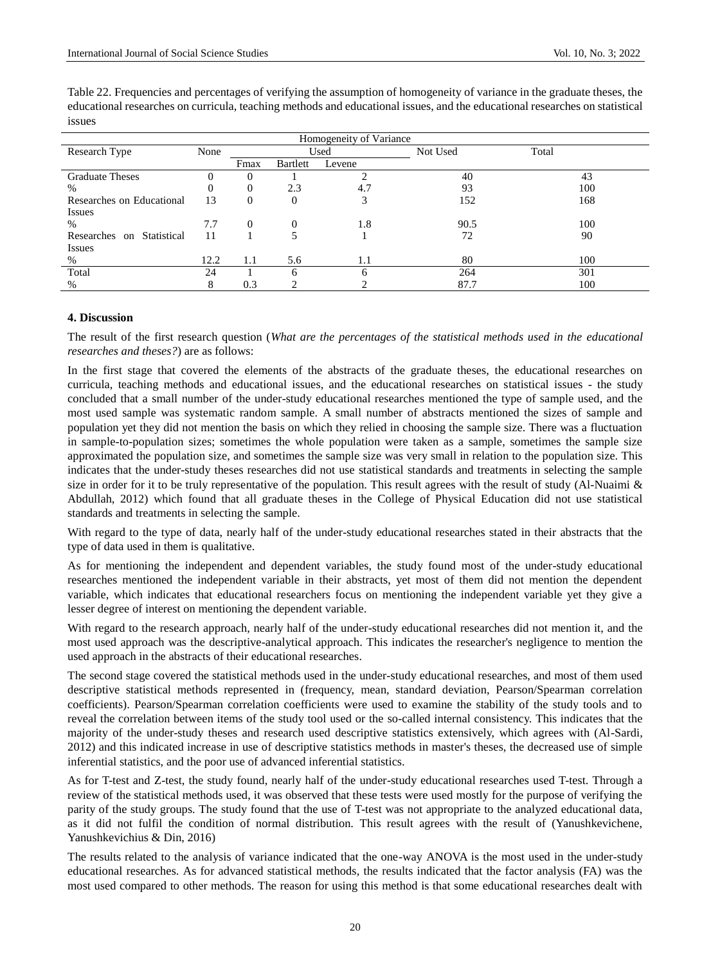| Homogeneity of Variance      |          |          |                 |        |          |       |
|------------------------------|----------|----------|-----------------|--------|----------|-------|
| Research Type                | None     | Used     |                 |        | Not Used | Total |
|                              |          | Fmax     | <b>Bartlett</b> | Levene |          |       |
| <b>Graduate Theses</b>       |          |          |                 | ി      | 40       | 43    |
| %                            | $\theta$ | 0        | 2.3             | 4.7    | 93       | 100   |
| Researches on Educational    | 13       | $\theta$ | $\Omega$        | 3      | 152      | 168   |
| <b>Issues</b>                |          |          |                 |        |          |       |
| %                            | 7.7      | $\Omega$ | $\Omega$        | 1.8    | 90.5     | 100   |
| Statistical<br>Researches on | 11       |          |                 |        | 72       | 90    |
| <b>Issues</b>                |          |          |                 |        |          |       |
| %                            | 12.2     | 1.1      | 5.6             | 1.1    | 80       | 100   |
| Total                        | 24       |          |                 | 6      | 264      | 301   |
| $\%$                         | 8        | 0.3      |                 |        | 87.7     | 100   |

Table 22. Frequencies and percentages of verifying the assumption of homogeneity of variance in the graduate theses, the educational researches on curricula, teaching methods and educational issues, and the educational researches on statistical issues

#### **4. Discussion**

The result of the first research question (*What are the percentages of the statistical methods used in the educational researches and theses?*) are as follows:

In the first stage that covered the elements of the abstracts of the graduate theses, the educational researches on curricula, teaching methods and educational issues, and the educational researches on statistical issues - the study concluded that a small number of the under-study educational researches mentioned the type of sample used, and the most used sample was systematic random sample. A small number of abstracts mentioned the sizes of sample and population yet they did not mention the basis on which they relied in choosing the sample size. There was a fluctuation in sample-to-population sizes; sometimes the whole population were taken as a sample, sometimes the sample size approximated the population size, and sometimes the sample size was very small in relation to the population size. This indicates that the under-study theses researches did not use statistical standards and treatments in selecting the sample size in order for it to be truly representative of the population. This result agrees with the result of study (Al-Nuaimi  $\&$ Abdullah, 2012) which found that all graduate theses in the College of Physical Education did not use statistical standards and treatments in selecting the sample.

With regard to the type of data, nearly half of the under-study educational researches stated in their abstracts that the type of data used in them is qualitative.

As for mentioning the independent and dependent variables, the study found most of the under-study educational researches mentioned the independent variable in their abstracts, yet most of them did not mention the dependent variable, which indicates that educational researchers focus on mentioning the independent variable yet they give a lesser degree of interest on mentioning the dependent variable.

With regard to the research approach, nearly half of the under-study educational researches did not mention it, and the most used approach was the descriptive-analytical approach. This indicates the researcher's negligence to mention the used approach in the abstracts of their educational researches.

The second stage covered the statistical methods used in the under-study educational researches, and most of them used descriptive statistical methods represented in (frequency, mean, standard deviation, Pearson/Spearman correlation coefficients). Pearson/Spearman correlation coefficients were used to examine the stability of the study tools and to reveal the correlation between items of the study tool used or the so-called internal consistency. This indicates that the majority of the under-study theses and research used descriptive statistics extensively, which agrees with (Al-Sardi, 2012) and this indicated increase in use of descriptive statistics methods in master's theses, the decreased use of simple inferential statistics, and the poor use of advanced inferential statistics.

As for T-test and Z-test, the study found, nearly half of the under-study educational researches used T-test. Through a review of the statistical methods used, it was observed that these tests were used mostly for the purpose of verifying the parity of the study groups. The study found that the use of T-test was not appropriate to the analyzed educational data, as it did not fulfil the condition of normal distribution. This result agrees with the result of (Yanushkevichene, Yanushkevichius & Din, 2016)

The results related to the analysis of variance indicated that the one-way ANOVA is the most used in the under-study educational researches. As for advanced statistical methods, the results indicated that the factor analysis (FA) was the most used compared to other methods. The reason for using this method is that some educational researches dealt with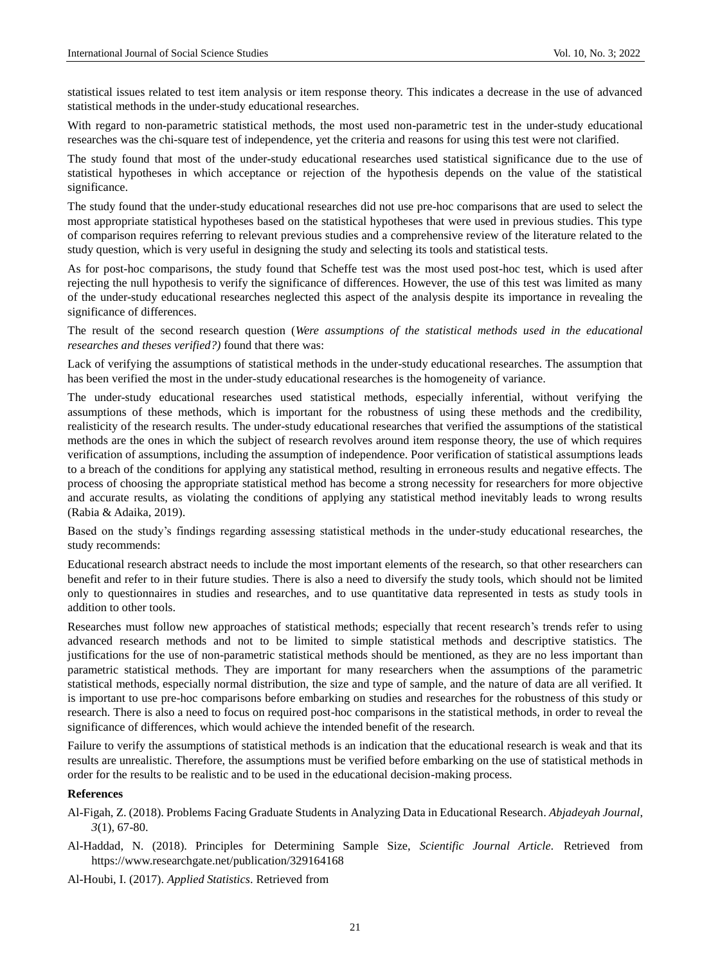statistical issues related to test item analysis or item response theory. This indicates a decrease in the use of advanced statistical methods in the under-study educational researches.

With regard to non-parametric statistical methods, the most used non-parametric test in the under-study educational researches was the chi-square test of independence, yet the criteria and reasons for using this test were not clarified.

The study found that most of the under-study educational researches used statistical significance due to the use of statistical hypotheses in which acceptance or rejection of the hypothesis depends on the value of the statistical significance.

The study found that the under-study educational researches did not use pre-hoc comparisons that are used to select the most appropriate statistical hypotheses based on the statistical hypotheses that were used in previous studies. This type of comparison requires referring to relevant previous studies and a comprehensive review of the literature related to the study question, which is very useful in designing the study and selecting its tools and statistical tests.

As for post-hoc comparisons, the study found that Scheffe test was the most used post-hoc test, which is used after rejecting the null hypothesis to verify the significance of differences. However, the use of this test was limited as many of the under-study educational researches neglected this aspect of the analysis despite its importance in revealing the significance of differences.

The result of the second research question (*Were assumptions of the statistical methods used in the educational researches and theses verified?)* found that there was:

Lack of verifying the assumptions of statistical methods in the under-study educational researches. The assumption that has been verified the most in the under-study educational researches is the homogeneity of variance.

The under-study educational researches used statistical methods, especially inferential, without verifying the assumptions of these methods, which is important for the robustness of using these methods and the credibility, realisticity of the research results. The under-study educational researches that verified the assumptions of the statistical methods are the ones in which the subject of research revolves around item response theory, the use of which requires verification of assumptions, including the assumption of independence. Poor verification of statistical assumptions leads to a breach of the conditions for applying any statistical method, resulting in erroneous results and negative effects. The process of choosing the appropriate statistical method has become a strong necessity for researchers for more objective and accurate results, as violating the conditions of applying any statistical method inevitably leads to wrong results (Rabia & Adaika, 2019).

Based on the study's findings regarding assessing statistical methods in the under-study educational researches, the study recommends:

Educational research abstract needs to include the most important elements of the research, so that other researchers can benefit and refer to in their future studies. There is also a need to diversify the study tools, which should not be limited only to questionnaires in studies and researches, and to use quantitative data represented in tests as study tools in addition to other tools.

Researches must follow new approaches of statistical methods; especially that recent research's trends refer to using advanced research methods and not to be limited to simple statistical methods and descriptive statistics. The justifications for the use of non-parametric statistical methods should be mentioned, as they are no less important than parametric statistical methods. They are important for many researchers when the assumptions of the parametric statistical methods, especially normal distribution, the size and type of sample, and the nature of data are all verified. It is important to use pre-hoc comparisons before embarking on studies and researches for the robustness of this study or research. There is also a need to focus on required post-hoc comparisons in the statistical methods, in order to reveal the significance of differences, which would achieve the intended benefit of the research.

Failure to verify the assumptions of statistical methods is an indication that the educational research is weak and that its results are unrealistic. Therefore, the assumptions must be verified before embarking on the use of statistical methods in order for the results to be realistic and to be used in the educational decision-making process.

#### **References**

Al-Figah, Z. (2018). Problems Facing Graduate Students in Analyzing Data in Educational Research. *Abjadeyah Journal*, *3*(1), 67-80.

Al-Haddad, N. (2018). Principles for Determining Sample Size, *Scientific Journal Article.* Retrieved from <https://www.researchgate.net/publication/329164168>

Al-Houbi, I. (2017). *Applied Statistics*. Retrieved from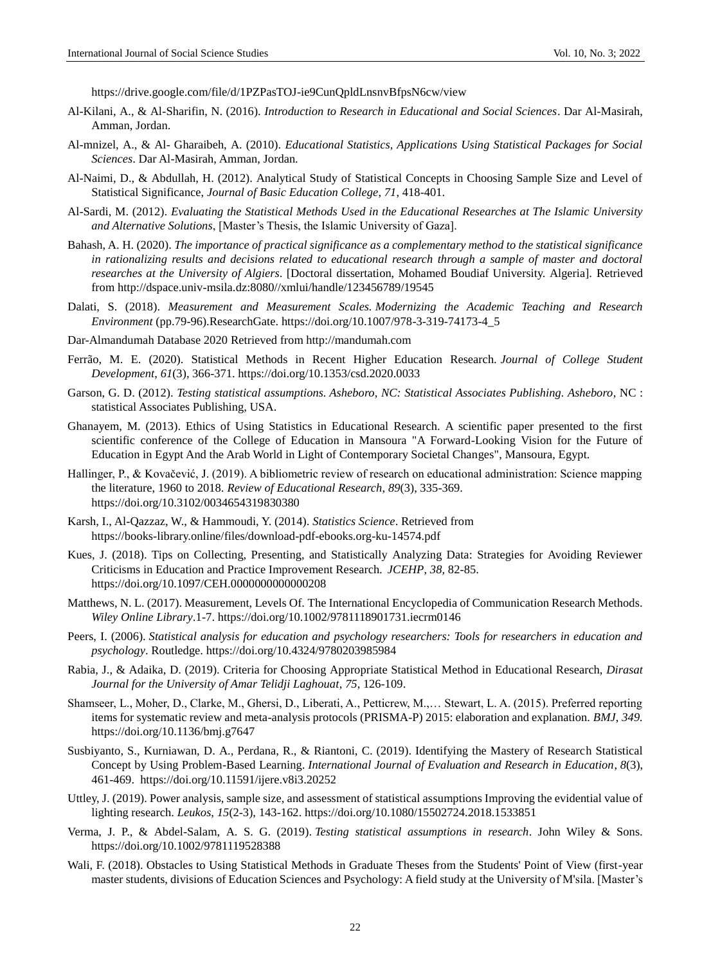<https://drive.google.com/file/d/1PZPasTOJ-ie9CunQpldLnsnvBfpsN6cw/view>

- Al-Kilani, A., & Al-Sharifin, N. (2016). *Introduction to Research in Educational and Social Sciences*. Dar Al-Masirah, Amman, Jordan.
- Al-mnizel, A., & Al- Gharaibeh, A. (2010). *Educational Statistics, Applications Using Statistical Packages for Social Sciences*. Dar Al-Masirah, Amman, Jordan.
- Al-Naimi, D., & Abdullah, H. (2012). Analytical Study of Statistical Concepts in Choosing Sample Size and Level of Statistical Significance, *Journal of Basic Education College*, *71*, 418-401.
- Al-Sardi, M. (2012). *Evaluating the Statistical Methods Used in the Educational Researches at The Islamic University and Alternative Solutions*, [Master's Thesis, the Islamic University of Gaza].
- Bahash, A. H. (2020). *The importance of practical significance as a complementary method to the statistical significance in rationalizing results and decisions related to educational research through a sample of master and doctoral researches at the University of Algiers*. [Doctoral dissertation, Mohamed Boudiaf University. Algeria]. Retrieved from [http://dspace.univ-msila.dz:8080//xmlui/handle/123456789/19545](http://dspace.univ-msila.dz:8080/xmlui/handle/123456789/19545)
- Dalati, S. (2018). *Measurement and Measurement Scales. Modernizing the Academic Teaching and Research Environment* (pp.79-96).ResearchGate. https://doi.org/10.1007/978-3-319-74173-4\_5
- Dar-Almandumah Database 2020 Retrieved from [http://mandumah.com](http://mandumah.com/)
- Ferrão, M. E. (2020). Statistical Methods in Recent Higher Education Research. *Journal of College Student Development*, *61*(3), 366-371. https://doi.org/10.1353/csd.2020.0033
- Garson, G. D. (2012). *Testing statistical assumptions. Asheboro, NC: Statistical Associates Publishing. Asheboro*, NC : statistical Associates Publishing, USA.
- Ghanayem, M. (2013). Ethics of Using Statistics in Educational Research. A scientific paper presented to the first scientific conference of the College of Education in Mansoura "A Forward-Looking Vision for the Future of Education in Egypt And the Arab World in Light of Contemporary Societal Changes", Mansoura, Egypt.
- Hallinger, P., & Kovačević, J. (2019). A bibliometric review of research on educational administration: Science mapping the literature, 1960 to 2018. *Review of Educational Research*, *89*(3), 335-369. https://doi.org/10.3102/0034654319830380
- Karsh, I., Al-Qazzaz, W., & Hammoudi, Y. (2014). *Statistics Science*. Retrieved from <https://books-library.online/files/download-pdf-ebooks.org-ku-14574.pdf>
- Kues, J. (2018). Tips on Collecting, Presenting, and Statistically Analyzing Data: Strategies for Avoiding Reviewer Criticisms in Education and Practice Improvement Research. *JCEHP*, *38,* 82-85. https://doi.org/10.1097/CEH.0000000000000208
- Matthews, N. L. (2017). Measurement, Levels Of. The International Encyclopedia of Communication Research Methods. *Wiley Online Library*.1-7. <https://doi.org/10.1002/9781118901731.iecrm0146>
- Peers, I. (2006). *Statistical analysis for education and psychology researchers: Tools for researchers in education and psychology*. Routledge. https://doi.org/10.4324/9780203985984
- Rabia, J., & Adaika, D. (2019). Criteria for Choosing Appropriate Statistical Method in Educational Research, *Dirasat Journal for the University of Amar Telidji Laghouat*, *75*, 126-109.
- Shamseer, L., Moher, D., Clarke, M., Ghersi, D., Liberati, A., Petticrew, M.,… Stewart, L. A. (2015). Preferred reporting items for systematic review and meta-analysis protocols (PRISMA-P) 2015: elaboration and explanation. *BMJ*, *349.* <https://doi.org/10.1136/bmj.g7647>
- Susbiyanto, S., Kurniawan, D. A., Perdana, R., & Riantoni, C. (2019). Identifying the Mastery of Research Statistical Concept by Using Problem-Based Learning. *International Journal of Evaluation and Research in Education*, *8*(3), 461-469. https://doi.org/10.11591/ijere.v8i3.20252
- Uttley, J. (2019). Power analysis, sample size, and assessment of statistical assumptions Improving the evidential value of lighting research. *Leukos*, *15*(2-3), 143-162. https://doi.org/10.1080/15502724.2018.1533851
- Verma, J. P., & Abdel-Salam, A. S. G. (2019). *Testing statistical assumptions in research*. John Wiley & Sons. https://doi.org/10.1002/9781119528388
- Wali, F. (2018). Obstacles to Using Statistical Methods in Graduate Theses from the Students' Point of View (first-year master students, divisions of Education Sciences and Psychology: A field study at the University of M'sila. [Master's